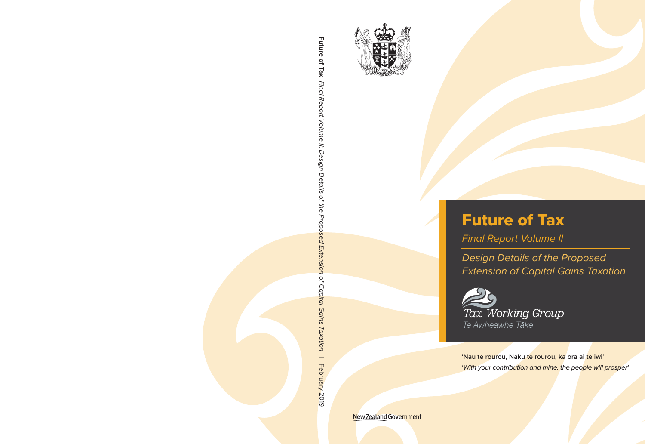

# Future of Tax

*Final Report Volume II*

*Design Details of the Proposed Extension of Capital Gains Taxation*



**'Nāu te rourou, Nāku te rourou, ka ora ai te iwi'**  *'With your contribution and mine, the people will prosper'*

New Zealand Government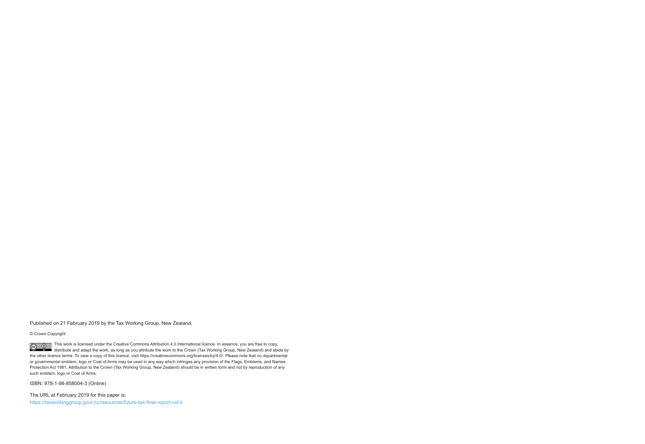Published on 21 February 2019 by the Tax Working Group, New Zealand.

© Crown Copyright

This work is licensed under the Creative Commons Attribution 4.0 International licence. In essence, you are free to copy,  $\odot$  $\odot$ distribute and adapt the work, as long as you attribute the work to the Crown (Tax Working Group, New Zealand) and abide by the other licence terms. To view a copy of this licence, visit https://creativecommons.org/licenses/by/4.0/. Please note that no departmental or governmental emblem, logo or Coat of Arms may be used in any way which infringes any provision of the Flags, Emblems, and Names Protection Act 1981. Attribution to the Crown (Tax Working Group, New Zealand) should be in written form and not by reproduction of any such emblem, logo or Coat of Arms.

ISBN: 978-1-98-858004-3 (Online)

The URL at February 2019 for this paper is: https://taxworkinggroup.govt.nz/resources/future-tax-final-report-vol-ii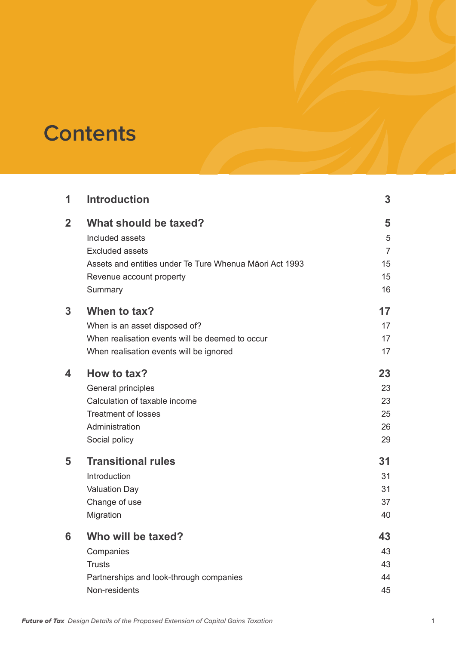# **Contents**

| 1              | <b>Introduction</b>                                     | 3              |
|----------------|---------------------------------------------------------|----------------|
| $\overline{2}$ | What should be taxed?                                   | 5              |
|                | Included assets                                         | 5              |
|                | <b>Excluded assets</b>                                  | $\overline{7}$ |
|                | Assets and entities under Te Ture Whenua Maori Act 1993 | 15             |
|                | Revenue account property                                | 15             |
|                | Summary                                                 | 16             |
| 3              | When to tax?                                            | 17             |
|                | When is an asset disposed of?                           | 17             |
|                | When realisation events will be deemed to occur         | 17             |
|                | When realisation events will be ignored                 | 17             |
| 4              | How to tax?                                             | 23             |
|                | General principles                                      | 23             |
|                | Calculation of taxable income                           | 23             |
|                | <b>Treatment of losses</b>                              | 25             |
|                | Administration                                          | 26             |
|                | Social policy                                           | 29             |
| 5              | <b>Transitional rules</b>                               | 31             |
|                | Introduction                                            | 31             |
|                | <b>Valuation Day</b>                                    | 31             |
|                | Change of use                                           | 37             |
|                | Migration                                               | 40             |
| 6              | Who will be taxed?                                      | 43             |
|                | Companies                                               | 43             |
|                | <b>Trusts</b>                                           | 43             |
|                | Partnerships and look-through companies                 | 44             |
|                | Non-residents                                           | 45             |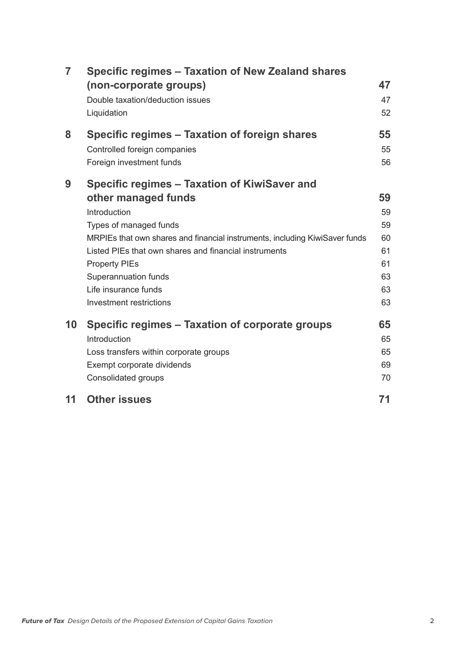| $\overline{7}$ | Specific regimes – Taxation of New Zealand shares<br>(non-corporate groups)<br>Double taxation/deduction issues<br>Liquidation | 47<br>47<br>52 |
|----------------|--------------------------------------------------------------------------------------------------------------------------------|----------------|
| 8              | Specific regimes – Taxation of foreign shares                                                                                  | 55             |
|                | Controlled foreign companies                                                                                                   | 55             |
|                | Foreign investment funds                                                                                                       | 56             |
| 9              | Specific regimes - Taxation of KiwiSaver and                                                                                   |                |
|                | other managed funds                                                                                                            | 59             |
|                | Introduction                                                                                                                   | 59             |
|                | Types of managed funds                                                                                                         | 59             |
|                | MRPIEs that own shares and financial instruments, including KiwiSaver funds                                                    | 60             |
|                | Listed PIEs that own shares and financial instruments                                                                          | 61             |
|                | <b>Property PIEs</b>                                                                                                           | 61             |
|                | Superannuation funds                                                                                                           | 63             |
|                | Life insurance funds                                                                                                           | 63             |
|                | Investment restrictions                                                                                                        | 63             |
| 10             | Specific regimes - Taxation of corporate groups                                                                                | 65             |
|                | Introduction                                                                                                                   | 65             |
|                | Loss transfers within corporate groups                                                                                         | 65             |
|                | Exempt corporate dividends                                                                                                     | 69             |
|                | <b>Consolidated groups</b>                                                                                                     | 70             |
| 11             | <b>Other issues</b>                                                                                                            | 71             |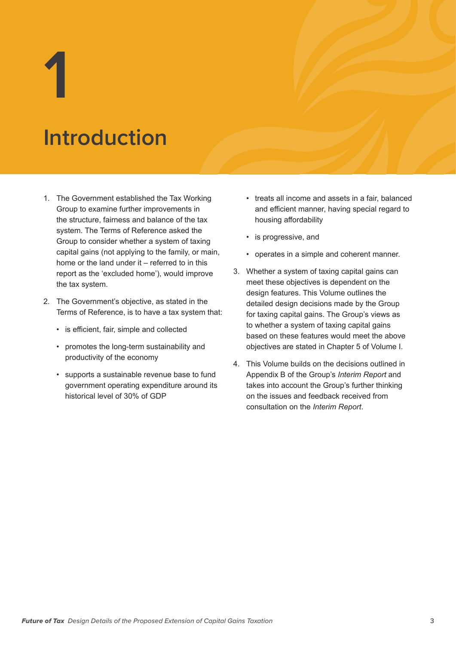**1**

# **Introduction**

- 1. The Government established the Tax Working Group to examine further improvements in the structure, fairness and balance of the tax system. The Terms of Reference asked the Group to consider whether a system of taxing capital gains (not applying to the family, or main, home or the land under it – referred to in this report as the 'excluded home'), would improve the tax system.
- 2. The Government's objective, as stated in the Terms of Reference, is to have a tax system that:
	- is efficient, fair, simple and collected
	- promotes the long-term sustainability and productivity of the economy
	- supports a sustainable revenue base to fund government operating expenditure around its historical level of 30% of GDP
- treats all income and assets in a fair, balanced and efficient manner, having special regard to housing affordability
- is progressive, and
- operates in a simple and coherent manner.
- 3. Whether a system of taxing capital gains can meet these objectives is dependent on the design features. This Volume outlines the detailed design decisions made by the Group for taxing capital gains. The Group's views as to whether a system of taxing capital gains based on these features would meet the above objectives are stated in Chapter 5 of Volume I.
- 4. This Volume builds on the decisions outlined in Appendix B of the Group's *Interim Report* and takes into account the Group's further thinking on the issues and feedback received from consultation on the *Interim Report*.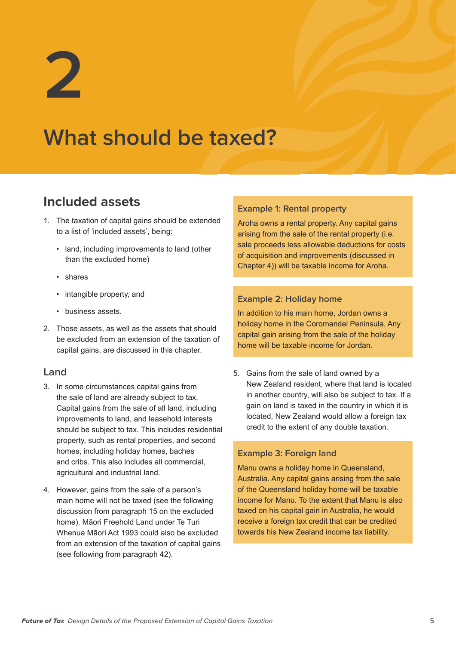**2**

# **What should be taxed?**

# **Included assets**

- 1. The taxation of capital gains should be extended to a list of 'included assets', being:
	- land, including improvements to land (other than the excluded home)
	- shares
	- intangible property, and
	- business assets.
- 2. Those assets, as well as the assets that should be excluded from an extension of the taxation of capital gains, are discussed in this chapter.

### **Land**

- 3. In some circumstances capital gains from the sale of land are already subject to tax. Capital gains from the sale of all land, including improvements to land, and leasehold interests should be subject to tax. This includes residential property, such as rental properties, and second homes, including holiday homes, baches and cribs. This also includes all commercial, agricultural and industrial land.
- 4. However, gains from the sale of a person's main home will not be taxed (see the following discussion from paragraph 15 on the excluded home). Māori Freehold Land under Te Turi Whenua Māori Act 1993 could also be excluded from an extension of the taxation of capital gains (see following from paragraph 42).

#### **Example 1: Rental property**

Aroha owns a rental property. Any capital gains arising from the sale of the rental property (i.e. sale proceeds less allowable deductions for costs of acquisition and improvements (discussed in Chapter 4)) will be taxable income for Aroha.

#### **Example 2: Holiday home**

In addition to his main home, Jordan owns a holiday home in the Coromandel Peninsula. Any capital gain arising from the sale of the holiday home will be taxable income for Jordan.

5. Gains from the sale of land owned by a New Zealand resident, where that land is located in another country, will also be subject to tax. If a gain on land is taxed in the country in which it is located, New Zealand would allow a foreign tax credit to the extent of any double taxation.

#### **Example 3: Foreign land**

Manu owns a holiday home in Queensland, Australia. Any capital gains arising from the sale of the Queensland holiday home will be taxable income for Manu. To the extent that Manu is also taxed on his capital gain in Australia, he would receive a foreign tax credit that can be credited towards his New Zealand income tax liability.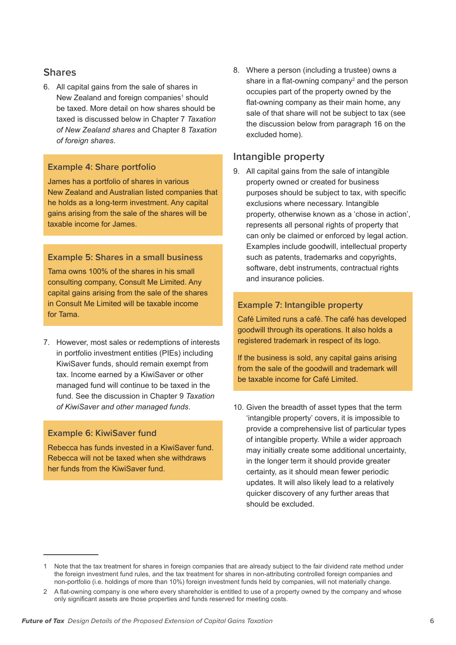#### **Shares**

6. All capital gains from the sale of shares in New Zealand and foreign companies<sup>1</sup> should be taxed. More detail on how shares should be taxed is discussed below in Chapter 7 *Taxation of New Zealand shares* and Chapter 8 *Taxation of foreign shares*.

#### **Example 4: Share portfolio**

James has a portfolio of shares in various New Zealand and Australian listed companies that he holds as a long-term investment. Any capital gains arising from the sale of the shares will be taxable income for James.

#### **Example 5: Shares in a small business**

Tama owns 100% of the shares in his small consulting company, Consult Me Limited. Any capital gains arising from the sale of the shares in Consult Me Limited will be taxable income for Tama.

7. However, most sales or redemptions of interests in portfolio investment entities (PIEs) including KiwiSaver funds, should remain exempt from tax. Income earned by a KiwiSaver or other managed fund will continue to be taxed in the fund. See the discussion in Chapter 9 *Taxation of KiwiSaver and other managed funds*.

#### **Example 6: KiwiSaver fund**

Rebecca has funds invested in a KiwiSaver fund. Rebecca will not be taxed when she withdraws her funds from the KiwiSaver fund.

8. Where a person (including a trustee) owns a share in a flat-owning company<sup>2</sup> and the person occupies part of the property owned by the flat-owning company as their main home, any sale of that share will not be subject to tax (see the discussion below from paragraph 16 on the excluded home).

## **Intangible property**

9. All capital gains from the sale of intangible property owned or created for business purposes should be subject to tax, with specific exclusions where necessary. Intangible property, otherwise known as a 'chose in action', represents all personal rights of property that can only be claimed or enforced by legal action. Examples include goodwill, intellectual property such as patents, trademarks and copyrights, software, debt instruments, contractual rights and insurance policies.

#### **Example 7: Intangible property**

Café Limited runs a café. The café has developed goodwill through its operations. It also holds a registered trademark in respect of its logo.

If the business is sold, any capital gains arising from the sale of the goodwill and trademark will be taxable income for Café Limited.

10. Given the breadth of asset types that the term 'intangible property' covers, it is impossible to provide a comprehensive list of particular types of intangible property. While a wider approach may initially create some additional uncertainty, in the longer term it should provide greater certainty, as it should mean fewer periodic updates. It will also likely lead to a relatively quicker discovery of any further areas that should be excluded.

<sup>1</sup> Note that the tax treatment for shares in foreign companies that are already subject to the fair dividend rate method under the foreign investment fund rules, and the tax treatment for shares in non-attributing controlled foreign companies and non-portfolio (i.e. holdings of more than 10%) foreign investment funds held by companies, will not materially change.

<sup>2</sup> A flat-owning company is one where every shareholder is entitled to use of a property owned by the company and whose only significant assets are those properties and funds reserved for meeting costs.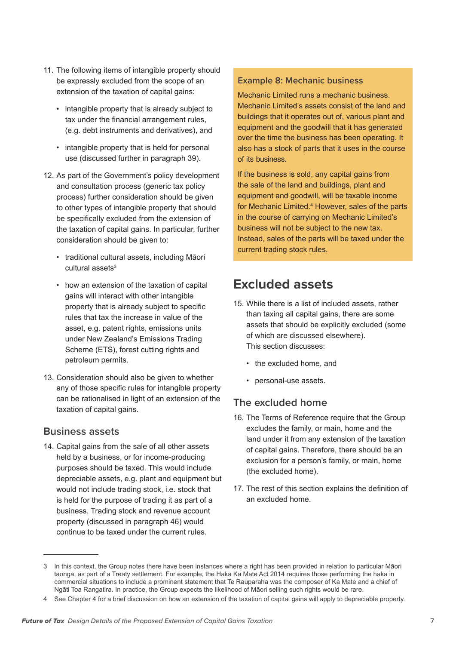- 11. The following items of intangible property should be expressly excluded from the scope of an extension of the taxation of capital gains:
	- intangible property that is already subject to tax under the financial arrangement rules, (e.g. debt instruments and derivatives), and
	- intangible property that is held for personal use (discussed further in paragraph 39).
- 12. As part of the Government's policy development and consultation process (generic tax policy process) further consideration should be given to other types of intangible property that should be specifically excluded from the extension of the taxation of capital gains. In particular, further consideration should be given to:
	- traditional cultural assets, including Māori cultural assets<sup>3</sup>
	- how an extension of the taxation of capital gains will interact with other intangible property that is already subject to specific rules that tax the increase in value of the asset, e.g. patent rights, emissions units under New Zealand's Emissions Trading Scheme (ETS), forest cutting rights and petroleum permits.
- 13. Consideration should also be given to whether any of those specific rules for intangible property can be rationalised in light of an extension of the taxation of capital gains.

### **Business assets**

14. Capital gains from the sale of all other assets held by a business, or for income-producing purposes should be taxed. This would include depreciable assets, e.g. plant and equipment but would not include trading stock, i.e. stock that is held for the purpose of trading it as part of a business. Trading stock and revenue account property (discussed in paragraph 46) would continue to be taxed under the current rules.

#### **Example 8: Mechanic business**

Mechanic Limited runs a mechanic business. Mechanic Limited's assets consist of the land and buildings that it operates out of, various plant and equipment and the goodwill that it has generated over the time the business has been operating. It also has a stock of parts that it uses in the course of its business.

If the business is sold, any capital gains from the sale of the land and buildings, plant and equipment and goodwill, will be taxable income for Mechanic Limited.<sup>4</sup> However, sales of the parts in the course of carrying on Mechanic Limited's business will not be subject to the new tax. Instead, sales of the parts will be taxed under the current trading stock rules.

# **Excluded assets**

- 15. While there is a list of included assets, rather than taxing all capital gains, there are some assets that should be explicitly excluded (some of which are discussed elsewhere). This section discusses:
	- the excluded home, and
	- personal-use assets.

## **The excluded home**

- 16. The Terms of Reference require that the Group excludes the family, or main, home and the land under it from any extension of the taxation of capital gains. Therefore, there should be an exclusion for a person's family, or main, home (the excluded home).
- 17. The rest of this section explains the definition of an excluded home.

<sup>3</sup> In this context, the Group notes there have been instances where a right has been provided in relation to particular Māori taonga, as part of a Treaty settlement. For example, the Haka Ka Mate Act 2014 requires those performing the haka in commercial situations to include a prominent statement that Te Rauparaha was the composer of Ka Mate and a chief of Ngāti Toa Rangatira. In practice, the Group expects the likelihood of Māori selling such rights would be rare.

<sup>4</sup> See Chapter 4 for a brief discussion on how an extension of the taxation of capital gains will apply to depreciable property.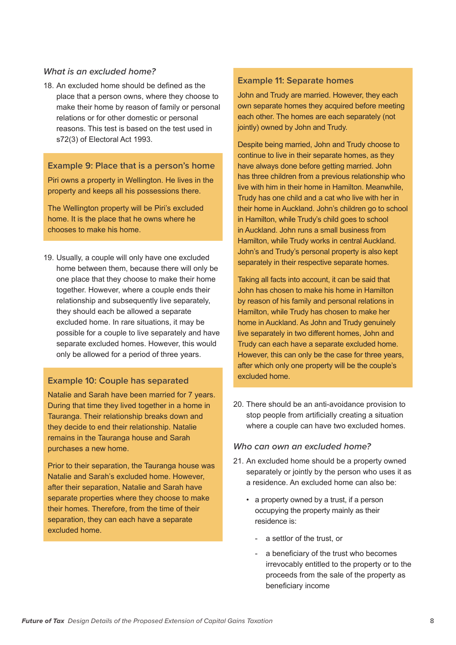#### *What is an excluded home?*

18. An excluded home should be defined as the place that a person owns, where they choose to make their home by reason of family or personal relations or for other domestic or personal reasons. This test is based on the test used in s72(3) of Electoral Act 1993.

**Example 9: Place that is a person's home**

Piri owns a property in Wellington. He lives in the property and keeps all his possessions there.

The Wellington property will be Piri's excluded home. It is the place that he owns where he chooses to make his home.

19. Usually, a couple will only have one excluded home between them, because there will only be one place that they choose to make their home together. However, where a couple ends their relationship and subsequently live separately, they should each be allowed a separate excluded home. In rare situations, it may be possible for a couple to live separately and have separate excluded homes. However, this would only be allowed for a period of three years.

#### **Example 10: Couple has separated**

Natalie and Sarah have been married for 7 years. During that time they lived together in a home in Tauranga. Their relationship breaks down and they decide to end their relationship. Natalie remains in the Tauranga house and Sarah purchases a new home.

Prior to their separation, the Tauranga house was Natalie and Sarah's excluded home. However, after their separation, Natalie and Sarah have separate properties where they choose to make their homes. Therefore, from the time of their separation, they can each have a separate excluded home.

#### **Example 11: Separate homes**

John and Trudy are married. However, they each own separate homes they acquired before meeting each other. The homes are each separately (not jointly) owned by John and Trudy.

Despite being married, John and Trudy choose to continue to live in their separate homes, as they have always done before getting married. John has three children from a previous relationship who live with him in their home in Hamilton. Meanwhile, Trudy has one child and a cat who live with her in their home in Auckland. John's children go to school in Hamilton, while Trudy's child goes to school in Auckland. John runs a small business from Hamilton, while Trudy works in central Auckland. John's and Trudy's personal property is also kept separately in their respective separate homes.

Taking all facts into account, it can be said that John has chosen to make his home in Hamilton by reason of his family and personal relations in Hamilton, while Trudy has chosen to make her home in Auckland. As John and Trudy genuinely live separately in two different homes, John and Trudy can each have a separate excluded home. However, this can only be the case for three years, after which only one property will be the couple's excluded home.

20. There should be an anti-avoidance provision to stop people from artificially creating a situation where a couple can have two excluded homes.

#### *Who can own an excluded home?*

- 21. An excluded home should be a property owned separately or jointly by the person who uses it as a residence. An excluded home can also be:
	- a property owned by a trust, if a person occupying the property mainly as their residence is:
		- a settlor of the trust, or
		- a beneficiary of the trust who becomes irrevocably entitled to the property or to the proceeds from the sale of the property as beneficiary income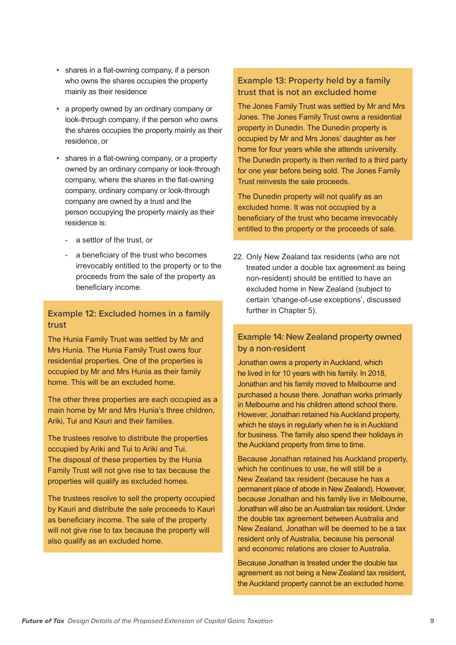- shares in a flat-owning company, if a person who owns the shares occupies the property mainly as their residence
- a property owned by an ordinary company or look-through company, if the person who owns the shares occupies the property mainly as their residence, or
- shares in a flat-owning company, or a property owned by an ordinary company or look-through company, where the shares in the flat-owning company, ordinary company or look-through company are owned by a trust and the person occupying the property mainly as their residence is:
	- a settlor of the trust, or
	- a beneficiary of the trust who becomes irrevocably entitled to the property or to the proceeds from the sale of the property as beneficiary income.

## **Example 12: Excluded homes in a family trust**

The Hunia Family Trust was settled by Mr and Mrs Hunia. The Hunia Family Trust owns four residential properties. One of the properties is occupied by Mr and Mrs Hunia as their family home. This will be an excluded home.

The other three properties are each occupied as a main home by Mr and Mrs Hunia's three children, Ariki, Tui and Kauri and their families.

The trustees resolve to distribute the properties occupied by Ariki and Tui to Ariki and Tui. The disposal of these properties by the Hunia Family Trust will not give rise to tax because the properties will qualify as excluded homes.

The trustees resolve to sell the property occupied by Kauri and distribute the sale proceeds to Kauri as beneficiary income. The sale of the property will not give rise to tax because the property will also qualify as an excluded home.

## **Example 13: Property held by a family trust that is not an excluded home**

The Jones Family Trust was settled by Mr and Mrs Jones. The Jones Family Trust owns a residential property in Dunedin. The Dunedin property is occupied by Mr and Mrs Jones' daughter as her home for four years while she attends university. The Dunedin property is then rented to a third party for one year before being sold. The Jones Family Trust reinvests the sale proceeds.

The Dunedin property will not qualify as an excluded home. It was not occupied by a beneficiary of the trust who became irrevocably entitled to the property or the proceeds of sale.

22. Only New Zealand tax residents (who are not treated under a double tax agreement as being non-resident) should be entitled to have an excluded home in New Zealand (subject to certain 'change-of-use exceptions', discussed further in Chapter 5).

#### **Example 14: New Zealand property owned by a non-resident**

Jonathan owns a property in Auckland, which he lived in for 10 years with his family. In 2018, Jonathan and his family moved to Melbourne and purchased a house there. Jonathan works primarily in Melbourne and his children attend school there. However, Jonathan retained his Auckland property, which he stays in regularly when he is in Auckland for business. The family also spend their holidays in the Auckland property from time to time.

Because Jonathan retained his Auckland property, which he continues to use, he will still be a New Zealand tax resident (because he has a permanent place of abode in New Zealand). However, because Jonathan and his family live in Melbourne, Jonathan will also be an Australian tax resident. Under the double tax agreement between Australia and New Zealand, Jonathan will be deemed to be a tax resident only of Australia, because his personal and economic relations are closer to Australia.

Because Jonathan is treated under the double tax agreement as not being a New Zealand tax resident, the Auckland property cannot be an excluded home.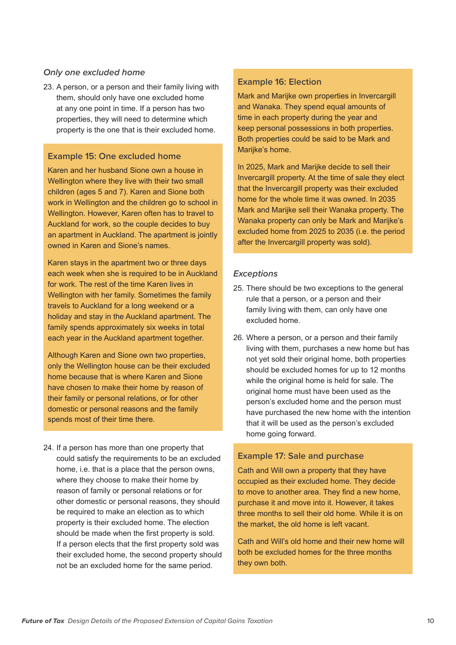#### *Only one excluded home*

23. A person, or a person and their family living with them, should only have one excluded home at any one point in time. If a person has two properties, they will need to determine which property is the one that is their excluded home.

#### **Example 15: One excluded home**

Karen and her husband Sione own a house in Wellington where they live with their two small children (ages 5 and 7). Karen and Sione both work in Wellington and the children go to school in Wellington. However, Karen often has to travel to Auckland for work, so the couple decides to buy an apartment in Auckland. The apartment is jointly owned in Karen and Sione's names.

Karen stays in the apartment two or three days each week when she is required to be in Auckland for work. The rest of the time Karen lives in Wellington with her family. Sometimes the family travels to Auckland for a long weekend or a holiday and stay in the Auckland apartment. The family spends approximately six weeks in total each year in the Auckland apartment together.

Although Karen and Sione own two properties, only the Wellington house can be their excluded home because that is where Karen and Sione have chosen to make their home by reason of their family or personal relations, or for other domestic or personal reasons and the family spends most of their time there.

24. If a person has more than one property that could satisfy the requirements to be an excluded home, i.e. that is a place that the person owns, where they choose to make their home by reason of family or personal relations or for other domestic or personal reasons, they should be required to make an election as to which property is their excluded home. The election should be made when the first property is sold. If a person elects that the first property sold was their excluded home, the second property should not be an excluded home for the same period.

#### **Example 16: Election**

Mark and Marijke own properties in Invercargill and Wanaka. They spend equal amounts of time in each property during the year and keep personal possessions in both properties. Both properties could be said to be Mark and Marijke's home.

In 2025, Mark and Marijke decide to sell their Invercargill property. At the time of sale they elect that the Invercargill property was their excluded home for the whole time it was owned. In 2035 Mark and Marijke sell their Wanaka property. The Wanaka property can only be Mark and Marijke's excluded home from 2025 to 2035 (i.e. the period after the Invercargill property was sold).

#### *Exceptions*

- 25. There should be two exceptions to the general rule that a person, or a person and their family living with them, can only have one excluded home.
- 26. Where a person, or a person and their family living with them, purchases a new home but has not yet sold their original home, both properties should be excluded homes for up to 12 months while the original home is held for sale. The original home must have been used as the person's excluded home and the person must have purchased the new home with the intention that it will be used as the person's excluded home going forward.

#### **Example 17: Sale and purchase**

Cath and Will own a property that they have occupied as their excluded home. They decide to move to another area. They find a new home, purchase it and move into it. However, it takes three months to sell their old home. While it is on the market, the old home is left vacant.

Cath and Will's old home and their new home will both be excluded homes for the three months they own both.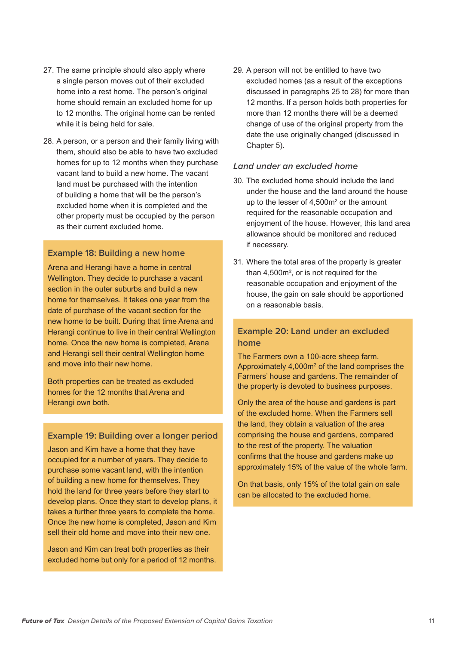- 27. The same principle should also apply where a single person moves out of their excluded home into a rest home. The person's original home should remain an excluded home for up to 12 months. The original home can be rented while it is being held for sale.
- 28. A person, or a person and their family living with them, should also be able to have two excluded homes for up to 12 months when they purchase vacant land to build a new home. The vacant land must be purchased with the intention of building a home that will be the person's excluded home when it is completed and the other property must be occupied by the person as their current excluded home.

#### **Example 18: Building a new home**

Arena and Herangi have a home in central Wellington. They decide to purchase a vacant section in the outer suburbs and build a new home for themselves. It takes one year from the date of purchase of the vacant section for the new home to be built. During that time Arena and Herangi continue to live in their central Wellington home. Once the new home is completed, Arena and Herangi sell their central Wellington home and move into their new home.

Both properties can be treated as excluded homes for the 12 months that Arena and Herangi own both.

#### **Example 19: Building over a longer period**

Jason and Kim have a home that they have occupied for a number of years. They decide to purchase some vacant land, with the intention of building a new home for themselves. They hold the land for three years before they start to develop plans. Once they start to develop plans, it takes a further three years to complete the home. Once the new home is completed, Jason and Kim sell their old home and move into their new one.

Jason and Kim can treat both properties as their excluded home but only for a period of 12 months. 29. A person will not be entitled to have two excluded homes (as a result of the exceptions discussed in paragraphs 25 to 28) for more than 12 months. If a person holds both properties for more than 12 months there will be a deemed change of use of the original property from the date the use originally changed (discussed in Chapter 5).

#### *Land under an excluded home*

- 30. The excluded home should include the land under the house and the land around the house up to the lesser of  $4,500m^2$  or the amount required for the reasonable occupation and enjoyment of the house. However, this land area allowance should be monitored and reduced if necessary.
- 31. Where the total area of the property is greater than 4,500m², or is not required for the reasonable occupation and enjoyment of the house, the gain on sale should be apportioned on a reasonable basis.

#### **Example 20: Land under an excluded home**

The Farmers own a 100-acre sheep farm. Approximately  $4,000m^2$  of the land comprises the Farmers' house and gardens. The remainder of the property is devoted to business purposes.

Only the area of the house and gardens is part of the excluded home. When the Farmers sell the land, they obtain a valuation of the area comprising the house and gardens, compared to the rest of the property. The valuation confirms that the house and gardens make up approximately 15% of the value of the whole farm.

On that basis, only 15% of the total gain on sale can be allocated to the excluded home.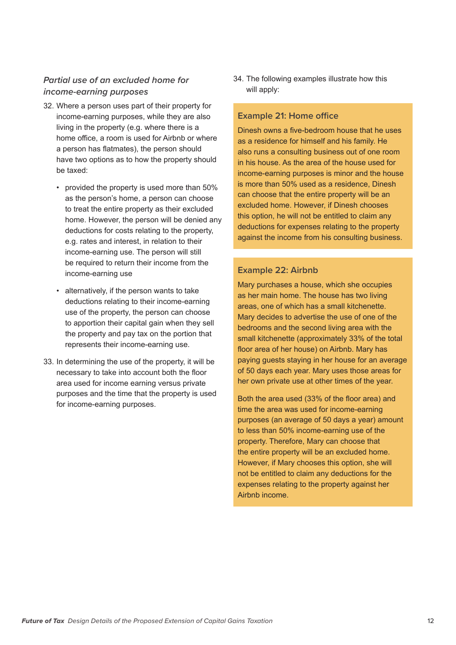## *Partial use of an excluded home for income-earning purposes*

- 32. Where a person uses part of their property for income-earning purposes, while they are also living in the property (e.g. where there is a home office, a room is used for Airbnb or where a person has flatmates), the person should have two options as to how the property should be taxed:
	- provided the property is used more than 50% as the person's home, a person can choose to treat the entire property as their excluded home. However, the person will be denied any deductions for costs relating to the property, e.g. rates and interest, in relation to their income-earning use. The person will still be required to return their income from the income-earning use
	- alternatively, if the person wants to take deductions relating to their income-earning use of the property, the person can choose to apportion their capital gain when they sell the property and pay tax on the portion that represents their income-earning use.
- 33. In determining the use of the property, it will be necessary to take into account both the floor area used for income earning versus private purposes and the time that the property is used for income-earning purposes.

34. The following examples illustrate how this will apply:

#### **Example 21: Home office**

Dinesh owns a five-bedroom house that he uses as a residence for himself and his family. He also runs a consulting business out of one room in his house. As the area of the house used for income-earning purposes is minor and the house is more than 50% used as a residence, Dinesh can choose that the entire property will be an excluded home. However, if Dinesh chooses this option, he will not be entitled to claim any deductions for expenses relating to the property against the income from his consulting business.

#### **Example 22: Airbnb**

Mary purchases a house, which she occupies as her main home. The house has two living areas, one of which has a small kitchenette. Mary decides to advertise the use of one of the bedrooms and the second living area with the small kitchenette (approximately 33% of the total floor area of her house) on Airbnb. Mary has paying guests staying in her house for an average of 50 days each year. Mary uses those areas for her own private use at other times of the year.

Both the area used (33% of the floor area) and time the area was used for income-earning purposes (an average of 50 days a year) amount to less than 50% income-earning use of the property. Therefore, Mary can choose that the entire property will be an excluded home. However, if Mary chooses this option, she will not be entitled to claim any deductions for the expenses relating to the property against her Airbnb income.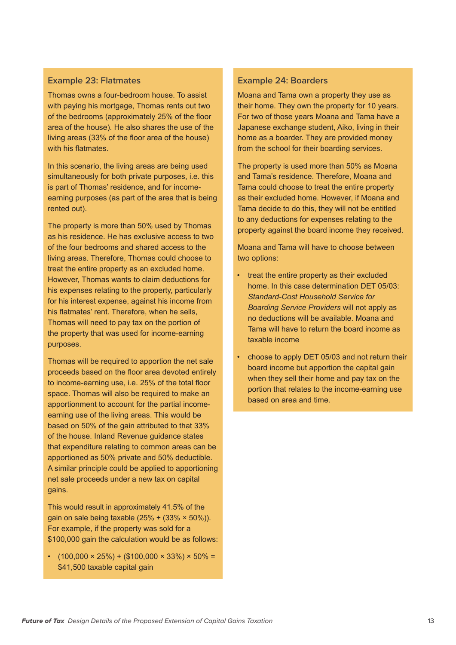#### **Example 23: Flatmates**

Thomas owns a four-bedroom house. To assist with paying his mortgage. Thomas rents out two of the bedrooms (approximately 25% of the floor area of the house). He also shares the use of the living areas (33% of the floor area of the house) with his flatmates.

In this scenario, the living areas are being used simultaneously for both private purposes, i.e. this is part of Thomas' residence, and for incomeearning purposes (as part of the area that is being rented out).

The property is more than 50% used by Thomas as his residence. He has exclusive access to two of the four bedrooms and shared access to the living areas. Therefore, Thomas could choose to treat the entire property as an excluded home. However, Thomas wants to claim deductions for his expenses relating to the property, particularly for his interest expense, against his income from his flatmates' rent. Therefore, when he sells, Thomas will need to pay tax on the portion of the property that was used for income-earning purposes.

Thomas will be required to apportion the net sale proceeds based on the floor area devoted entirely to income-earning use, i.e. 25% of the total floor space. Thomas will also be required to make an apportionment to account for the partial incomeearning use of the living areas. This would be based on 50% of the gain attributed to that 33% of the house. Inland Revenue guidance states that expenditure relating to common areas can be apportioned as 50% private and 50% deductible. A similar principle could be applied to apportioning net sale proceeds under a new tax on capital gains.

This would result in approximately 41.5% of the gain on sale being taxable  $(25% + (33% \times 50%))$ . For example, if the property was sold for a \$100,000 gain the calculation would be as follows:

 $\cdot$  (100,000 × 25%) + (\$100,000 × 33%) × 50% = \$41,500 taxable capital gain

#### **Example 24: Boarders**

Moana and Tama own a property they use as their home. They own the property for 10 years. For two of those years Moana and Tama have a Japanese exchange student, Aiko, living in their home as a boarder. They are provided money from the school for their boarding services.

The property is used more than 50% as Moana and Tama's residence. Therefore, Moana and Tama could choose to treat the entire property as their excluded home. However, if Moana and Tama decide to do this, they will not be entitled to any deductions for expenses relating to the property against the board income they received.

Moana and Tama will have to choose between two options:

- treat the entire property as their excluded home. In this case determination DET 05/03: *Standard-Cost Household Service for Boarding Service Providers* will not apply as no deductions will be available. Moana and Tama will have to return the board income as taxable income
- choose to apply DET 05/03 and not return their board income but apportion the capital gain when they sell their home and pay tax on the portion that relates to the income-earning use based on area and time.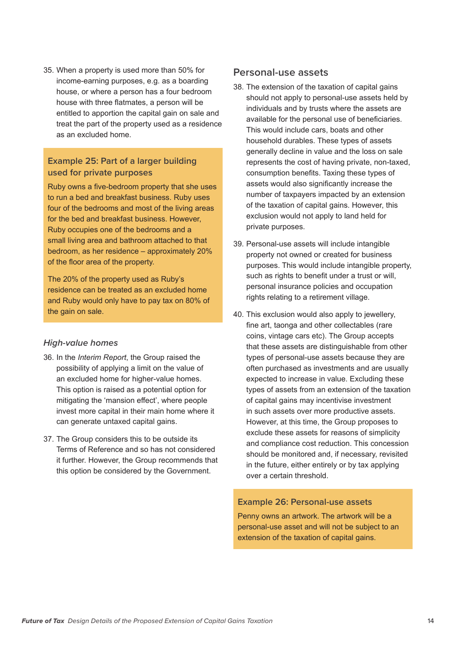35. When a property is used more than 50% for income-earning purposes, e.g. as a boarding house, or where a person has a four bedroom house with three flatmates, a person will be entitled to apportion the capital gain on sale and treat the part of the property used as a residence as an excluded home.

#### **Example 25: Part of a larger building used for private purposes**

Ruby owns a five-bedroom property that she uses to run a bed and breakfast business. Ruby uses four of the bedrooms and most of the living areas for the bed and breakfast business. However, Ruby occupies one of the bedrooms and a small living area and bathroom attached to that bedroom, as her residence – approximately 20% of the floor area of the property.

The 20% of the property used as Ruby's residence can be treated as an excluded home and Ruby would only have to pay tax on 80% of the gain on sale.

#### *High-value homes*

- 36. In the *Interim Report*, the Group raised the possibility of applying a limit on the value of an excluded home for higher-value homes. This option is raised as a potential option for mitigating the 'mansion effect', where people invest more capital in their main home where it can generate untaxed capital gains.
- 37. The Group considers this to be outside its Terms of Reference and so has not considered it further. However, the Group recommends that this option be considered by the Government.

#### **Personal-use assets**

- 38. The extension of the taxation of capital gains should not apply to personal-use assets held by individuals and by trusts where the assets are available for the personal use of beneficiaries. This would include cars, boats and other household durables. These types of assets generally decline in value and the loss on sale represents the cost of having private, non-taxed, consumption benefits. Taxing these types of assets would also significantly increase the number of taxpayers impacted by an extension of the taxation of capital gains. However, this exclusion would not apply to land held for private purposes.
- 39. Personal-use assets will include intangible property not owned or created for business purposes. This would include intangible property, such as rights to benefit under a trust or will, personal insurance policies and occupation rights relating to a retirement village.
- 40. This exclusion would also apply to jewellery, fine art, taonga and other collectables (rare coins, vintage cars etc). The Group accepts that these assets are distinguishable from other types of personal-use assets because they are often purchased as investments and are usually expected to increase in value. Excluding these types of assets from an extension of the taxation of capital gains may incentivise investment in such assets over more productive assets. However, at this time, the Group proposes to exclude these assets for reasons of simplicity and compliance cost reduction. This concession should be monitored and, if necessary, revisited in the future, either entirely or by tax applying over a certain threshold.

#### **Example 26: Personal-use assets**

Penny owns an artwork. The artwork will be a personal-use asset and will not be subject to an extension of the taxation of capital gains.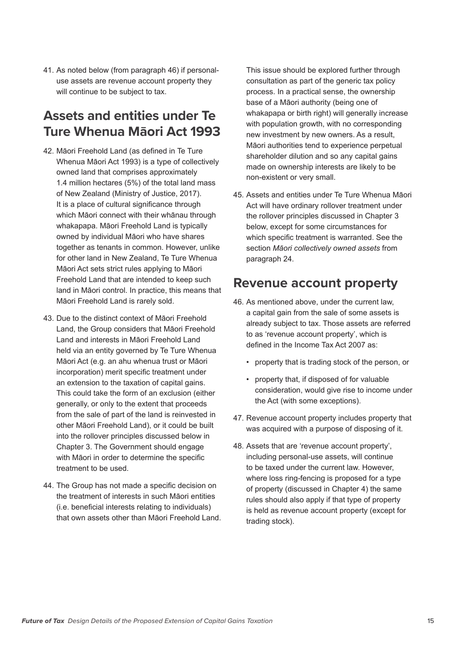41. As noted below (from paragraph 46) if personaluse assets are revenue account property they will continue to be subject to tax.

# **Assets and entities under Te Ture Whenua Māori Act 1993**

- 42. Māori Freehold Land (as defined in Te Ture Whenua Māori Act 1993) is a type of collectively owned land that comprises approximately 1.4 million hectares (5%) of the total land mass of New Zealand (Ministry of Justice, 2017). It is a place of cultural significance through which Māori connect with their whānau through whakapapa. Māori Freehold Land is typically owned by individual Māori who have shares together as tenants in common. However, unlike for other land in New Zealand, Te Ture Whenua Māori Act sets strict rules applying to Māori Freehold Land that are intended to keep such land in Māori control. In practice, this means that Māori Freehold Land is rarely sold.
- 43. Due to the distinct context of Māori Freehold Land, the Group considers that Māori Freehold Land and interests in Māori Freehold Land held via an entity governed by Te Ture Whenua Māori Act (e.g. an ahu whenua trust or Māori incorporation) merit specific treatment under an extension to the taxation of capital gains. This could take the form of an exclusion (either generally, or only to the extent that proceeds from the sale of part of the land is reinvested in other Māori Freehold Land), or it could be built into the rollover principles discussed below in Chapter 3. The Government should engage with Māori in order to determine the specific treatment to be used.
- 44. The Group has not made a specific decision on the treatment of interests in such Māori entities (i.e. beneficial interests relating to individuals) that own assets other than Māori Freehold Land.

This issue should be explored further through consultation as part of the generic tax policy process. In a practical sense, the ownership base of a Māori authority (being one of whakapapa or birth right) will generally increase with population growth, with no corresponding new investment by new owners. As a result, Māori authorities tend to experience perpetual shareholder dilution and so any capital gains made on ownership interests are likely to be non-existent or very small.

45. Assets and entities under Te Ture Whenua Māori Act will have ordinary rollover treatment under the rollover principles discussed in Chapter 3 below, except for some circumstances for which specific treatment is warranted. See the section *Māori collectively owned assets* from paragraph 24.

# **Revenue account property**

- 46. As mentioned above, under the current law, a capital gain from the sale of some assets is already subject to tax. Those assets are referred to as 'revenue account property', which is defined in the Income Tax Act 2007 as:
	- property that is trading stock of the person, or
	- property that, if disposed of for valuable consideration, would give rise to income under the Act (with some exceptions).
- 47. Revenue account property includes property that was acquired with a purpose of disposing of it.
- 48. Assets that are 'revenue account property', including personal-use assets, will continue to be taxed under the current law. However, where loss ring-fencing is proposed for a type of property (discussed in Chapter 4) the same rules should also apply if that type of property is held as revenue account property (except for trading stock).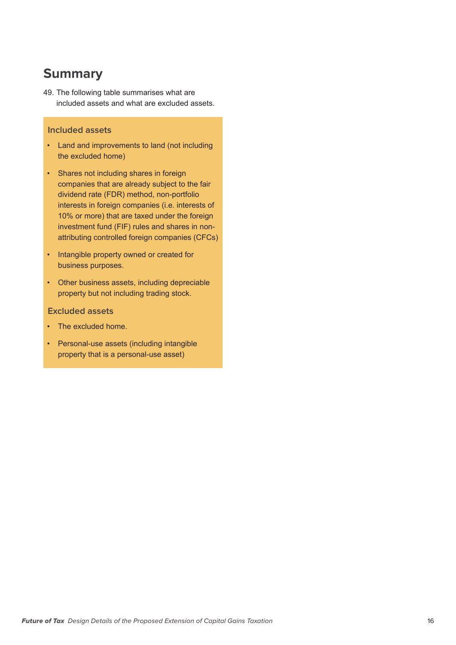# **Summary**

49. The following table summarises what are included assets and what are excluded assets.

#### **Included assets**

- Land and improvements to land (not including the excluded home)
- Shares not including shares in foreign companies that are already subject to the fair dividend rate (FDR) method, non-portfolio interests in foreign companies (i.e. interests of 10% or more) that are taxed under the foreign investment fund (FIF) rules and shares in nonattributing controlled foreign companies (CFCs)
- Intangible property owned or created for business purposes.
- Other business assets, including depreciable property but not including trading stock.
- **Excluded assets**
- The excluded home.
- Personal-use assets (including intangible property that is a personal-use asset)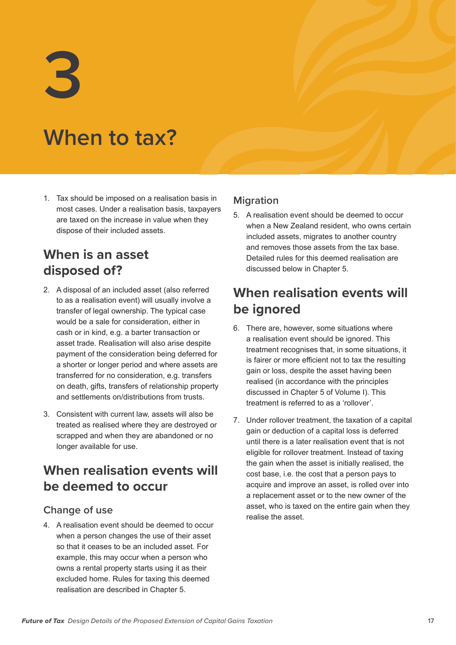**3**

# **When to tax?**

1. Tax should be imposed on a realisation basis in most cases. Under a realisation basis, taxpayers are taxed on the increase in value when they dispose of their included assets.

# **When is an asset disposed of?**

- 2. A disposal of an included asset (also referred to as a realisation event) will usually involve a transfer of legal ownership. The typical case would be a sale for consideration, either in cash or in kind, e.g. a barter transaction or asset trade. Realisation will also arise despite payment of the consideration being deferred for a shorter or longer period and where assets are transferred for no consideration, e.g. transfers on death, gifts, transfers of relationship property and settlements on/distributions from trusts.
- 3. Consistent with current law, assets will also be treated as realised where they are destroyed or scrapped and when they are abandoned or no longer available for use.

# **When realisation events will be deemed to occur**

## **Change of use**

4. A realisation event should be deemed to occur when a person changes the use of their asset so that it ceases to be an included asset. For example, this may occur when a person who owns a rental property starts using it as their excluded home. Rules for taxing this deemed realisation are described in Chapter 5.

## **Migration**

5. A realisation event should be deemed to occur when a New Zealand resident, who owns certain included assets, migrates to another country and removes those assets from the tax base. Detailed rules for this deemed realisation are discussed below in Chapter 5.

# **When realisation events will be ignored**

- 6. There are, however, some situations where a realisation event should be ignored. This treatment recognises that, in some situations, it is fairer or more efficient not to tax the resulting gain or loss, despite the asset having been realised (in accordance with the principles discussed in Chapter 5 of Volume I). This treatment is referred to as a 'rollover'.
- 7. Under rollover treatment, the taxation of a capital gain or deduction of a capital loss is deferred until there is a later realisation event that is not eligible for rollover treatment. Instead of taxing the gain when the asset is initially realised, the cost base, i.e. the cost that a person pays to acquire and improve an asset, is rolled over into a replacement asset or to the new owner of the asset, who is taxed on the entire gain when they realise the asset.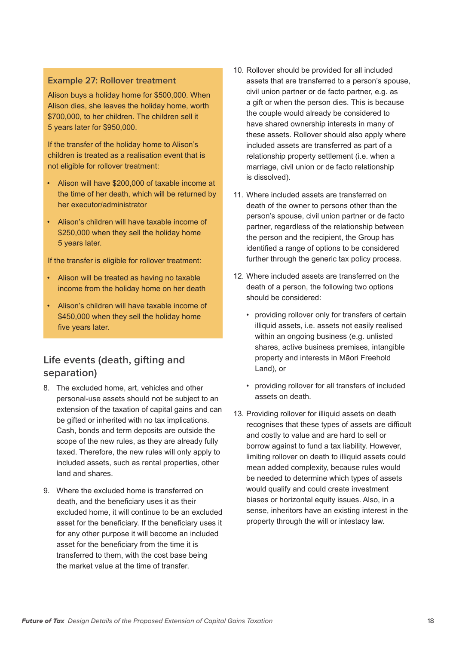#### **Example 27: Rollover treatment**

Alison buys a holiday home for \$500,000. When Alison dies, she leaves the holiday home, worth \$700,000, to her children. The children sell it 5 years later for \$950,000.

If the transfer of the holiday home to Alison's children is treated as a realisation event that is not eligible for rollover treatment:

- Alison will have \$200,000 of taxable income at the time of her death, which will be returned by her executor/administrator
- Alison's children will have taxable income of \$250,000 when they sell the holiday home 5 years later.

If the transfer is eligible for rollover treatment:

- Alison will be treated as having no taxable income from the holiday home on her death
- Alison's children will have taxable income of \$450,000 when they sell the holiday home five years later.

## **Life events (death, gifting and separation)**

- 8. The excluded home, art, vehicles and other personal-use assets should not be subject to an extension of the taxation of capital gains and can be gifted or inherited with no tax implications. Cash, bonds and term deposits are outside the scope of the new rules, as they are already fully taxed. Therefore, the new rules will only apply to included assets, such as rental properties, other land and shares.
- 9. Where the excluded home is transferred on death, and the beneficiary uses it as their excluded home, it will continue to be an excluded asset for the beneficiary. If the beneficiary uses it for any other purpose it will become an included asset for the beneficiary from the time it is transferred to them, with the cost base being the market value at the time of transfer.
- 10. Rollover should be provided for all included assets that are transferred to a person's spouse, civil union partner or de facto partner, e.g. as a gift or when the person dies. This is because the couple would already be considered to have shared ownership interests in many of these assets. Rollover should also apply where included assets are transferred as part of a relationship property settlement (i.e. when a marriage, civil union or de facto relationship is dissolved).
- 11. Where included assets are transferred on death of the owner to persons other than the person's spouse, civil union partner or de facto partner, regardless of the relationship between the person and the recipient, the Group has identified a range of options to be considered further through the generic tax policy process.
- 12. Where included assets are transferred on the death of a person, the following two options should be considered:
	- providing rollover only for transfers of certain illiquid assets, i.e. assets not easily realised within an ongoing business (e.g. unlisted shares, active business premises, intangible property and interests in Māori Freehold Land), or
	- providing rollover for all transfers of included assets on death.
- 13. Providing rollover for illiquid assets on death recognises that these types of assets are difficult and costly to value and are hard to sell or borrow against to fund a tax liability. However, limiting rollover on death to illiquid assets could mean added complexity, because rules would be needed to determine which types of assets would qualify and could create investment biases or horizontal equity issues. Also, in a sense, inheritors have an existing interest in the property through the will or intestacy law.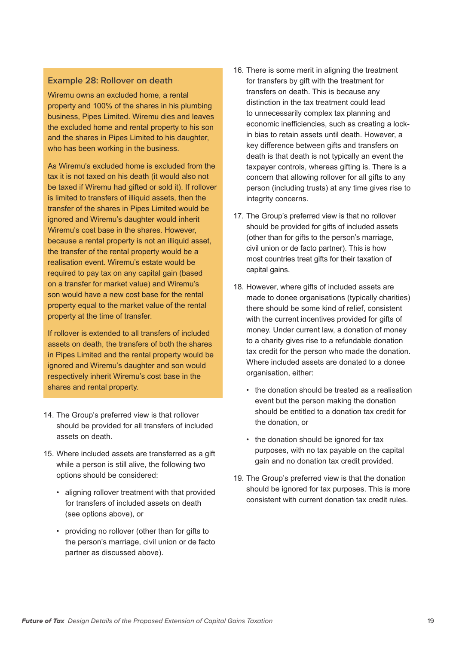#### **Example 28: Rollover on death**

Wiremu owns an excluded home, a rental property and 100% of the shares in his plumbing business, Pipes Limited. Wiremu dies and leaves the excluded home and rental property to his son and the shares in Pipes Limited to his daughter, who has been working in the business.

As Wiremu's excluded home is excluded from the tax it is not taxed on his death (it would also not be taxed if Wiremu had gifted or sold it). If rollover is limited to transfers of illiquid assets, then the transfer of the shares in Pipes Limited would be ignored and Wiremu's daughter would inherit Wiremu's cost base in the shares. However, because a rental property is not an illiquid asset, the transfer of the rental property would be a realisation event. Wiremu's estate would be required to pay tax on any capital gain (based on a transfer for market value) and Wiremu's son would have a new cost base for the rental property equal to the market value of the rental property at the time of transfer.

If rollover is extended to all transfers of included assets on death, the transfers of both the shares in Pipes Limited and the rental property would be ignored and Wiremu's daughter and son would respectively inherit Wiremu's cost base in the shares and rental property.

- 14. The Group's preferred view is that rollover should be provided for all transfers of included assets on death.
- 15. Where included assets are transferred as a gift while a person is still alive, the following two options should be considered:
	- aligning rollover treatment with that provided for transfers of included assets on death (see options above), or
	- providing no rollover (other than for gifts to the person's marriage, civil union or de facto partner as discussed above).
- 16. There is some merit in aligning the treatment for transfers by gift with the treatment for transfers on death. This is because any distinction in the tax treatment could lead to unnecessarily complex tax planning and economic inefficiencies, such as creating a lockin bias to retain assets until death. However, a key difference between gifts and transfers on death is that death is not typically an event the taxpayer controls, whereas gifting is. There is a concern that allowing rollover for all gifts to any person (including trusts) at any time gives rise to integrity concerns.
- 17. The Group's preferred view is that no rollover should be provided for gifts of included assets (other than for gifts to the person's marriage, civil union or de facto partner). This is how most countries treat gifts for their taxation of capital gains.
- 18. However, where gifts of included assets are made to donee organisations (typically charities) there should be some kind of relief, consistent with the current incentives provided for gifts of money. Under current law, a donation of money to a charity gives rise to a refundable donation tax credit for the person who made the donation. Where included assets are donated to a donee organisation, either:
	- the donation should be treated as a realisation event but the person making the donation should be entitled to a donation tax credit for the donation, or
	- the donation should be ignored for tax purposes, with no tax payable on the capital gain and no donation tax credit provided.
- 19. The Group's preferred view is that the donation should be ignored for tax purposes. This is more consistent with current donation tax credit rules.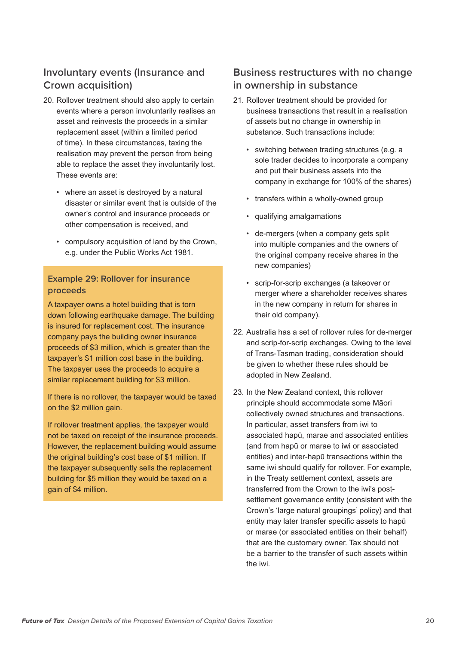# **Involuntary events (Insurance and Crown acquisition)**

- 20. Rollover treatment should also apply to certain events where a person involuntarily realises an asset and reinvests the proceeds in a similar replacement asset (within a limited period of time). In these circumstances, taxing the realisation may prevent the person from being able to replace the asset they involuntarily lost. These events are:
	- where an asset is destroyed by a natural disaster or similar event that is outside of the owner's control and insurance proceeds or other compensation is received, and
	- compulsory acquisition of land by the Crown, e.g. under the Public Works Act 1981.

#### **Example 29: Rollover for insurance proceeds**

A taxpayer owns a hotel building that is torn down following earthquake damage. The building is insured for replacement cost. The insurance company pays the building owner insurance proceeds of \$3 million, which is greater than the taxpayer's \$1 million cost base in the building. The taxpayer uses the proceeds to acquire a similar replacement building for \$3 million.

If there is no rollover, the taxpayer would be taxed on the \$2 million gain.

If rollover treatment applies, the taxpayer would not be taxed on receipt of the insurance proceeds. However, the replacement building would assume the original building's cost base of \$1 million. If the taxpayer subsequently sells the replacement building for \$5 million they would be taxed on a gain of \$4 million.

## **Business restructures with no change in ownership in substance**

- 21. Rollover treatment should be provided for business transactions that result in a realisation of assets but no change in ownership in substance. Such transactions include:
	- switching between trading structures (e.g. a sole trader decides to incorporate a company and put their business assets into the company in exchange for 100% of the shares)
	- transfers within a wholly-owned group
	- qualifying amalgamations
	- de-mergers (when a company gets split into multiple companies and the owners of the original company receive shares in the new companies)
	- scrip-for-scrip exchanges (a takeover or merger where a shareholder receives shares in the new company in return for shares in their old company).
- 22. Australia has a set of rollover rules for de-merger and scrip-for-scrip exchanges. Owing to the level of Trans-Tasman trading, consideration should be given to whether these rules should be adopted in New Zealand.
- 23. In the New Zealand context, this rollover principle should accommodate some Māori collectively owned structures and transactions. In particular, asset transfers from iwi to associated hapū, marae and associated entities (and from hapū or marae to iwi or associated entities) and inter-hapū transactions within the same iwi should qualify for rollover. For example, in the Treaty settlement context, assets are transferred from the Crown to the iwi's postsettlement governance entity (consistent with the Crown's 'large natural groupings' policy) and that entity may later transfer specific assets to hapū or marae (or associated entities on their behalf) that are the customary owner. Tax should not be a barrier to the transfer of such assets within the iwi.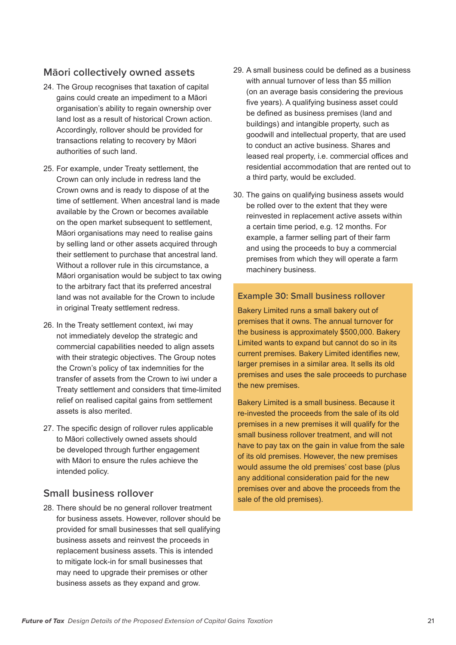## **Māori collectively owned assets**

- 24. The Group recognises that taxation of capital gains could create an impediment to a Māori organisation's ability to regain ownership over land lost as a result of historical Crown action. Accordingly, rollover should be provided for transactions relating to recovery by Māori authorities of such land.
- 25. For example, under Treaty settlement, the Crown can only include in redress land the Crown owns and is ready to dispose of at the time of settlement. When ancestral land is made available by the Crown or becomes available on the open market subsequent to settlement, Māori organisations may need to realise gains by selling land or other assets acquired through their settlement to purchase that ancestral land. Without a rollover rule in this circumstance, a Māori organisation would be subject to tax owing to the arbitrary fact that its preferred ancestral land was not available for the Crown to include in original Treaty settlement redress.
- 26. In the Treaty settlement context, iwi may not immediately develop the strategic and commercial capabilities needed to align assets with their strategic objectives. The Group notes the Crown's policy of tax indemnities for the transfer of assets from the Crown to iwi under a Treaty settlement and considers that time-limited relief on realised capital gains from settlement assets is also merited.
- 27. The specific design of rollover rules applicable to Māori collectively owned assets should be developed through further engagement with Māori to ensure the rules achieve the intended policy.

### **Small business rollover**

28. There should be no general rollover treatment for business assets. However, rollover should be provided for small businesses that sell qualifying business assets and reinvest the proceeds in replacement business assets. This is intended to mitigate lock-in for small businesses that may need to upgrade their premises or other business assets as they expand and grow.

- 29. A small business could be defined as a business with annual turnover of less than \$5 million (on an average basis considering the previous five years). A qualifying business asset could be defined as business premises (land and buildings) and intangible property, such as goodwill and intellectual property, that are used to conduct an active business. Shares and leased real property, i.e. commercial offices and residential accommodation that are rented out to a third party, would be excluded.
- 30. The gains on qualifying business assets would be rolled over to the extent that they were reinvested in replacement active assets within a certain time period, e.g. 12 months. For example, a farmer selling part of their farm and using the proceeds to buy a commercial premises from which they will operate a farm machinery business.

#### **Example 30: Small business rollover**

Bakery Limited runs a small bakery out of premises that it owns. The annual turnover for the business is approximately \$500,000. Bakery Limited wants to expand but cannot do so in its current premises. Bakery Limited identifies new, larger premises in a similar area. It sells its old premises and uses the sale proceeds to purchase the new premises.

Bakery Limited is a small business. Because it re-invested the proceeds from the sale of its old premises in a new premises it will qualify for the small business rollover treatment, and will not have to pay tax on the gain in value from the sale of its old premises. However, the new premises would assume the old premises' cost base (plus any additional consideration paid for the new premises over and above the proceeds from the sale of the old premises).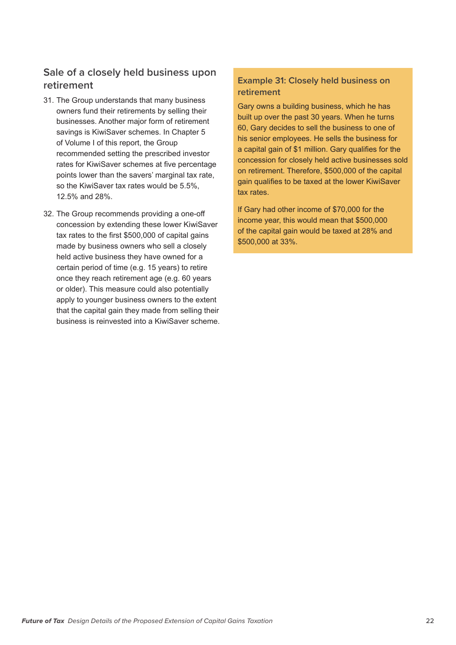# **Sale of a closely held business upon retirement**

- 31. The Group understands that many business owners fund their retirements by selling their businesses. Another major form of retirement savings is KiwiSaver schemes. In Chapter 5 of Volume I of this report, the Group recommended setting the prescribed investor rates for KiwiSaver schemes at five percentage points lower than the savers' marginal tax rate, so the KiwiSaver tax rates would be 5.5%, 12.5% and 28%.
- 32. The Group recommends providing a one-off concession by extending these lower KiwiSaver tax rates to the first \$500,000 of capital gains made by business owners who sell a closely held active business they have owned for a certain period of time (e.g. 15 years) to retire once they reach retirement age (e.g. 60 years or older). This measure could also potentially apply to younger business owners to the extent that the capital gain they made from selling their business is reinvested into a KiwiSaver scheme.

### **Example 31: Closely held business on retirement**

Gary owns a building business, which he has built up over the past 30 years. When he turns 60, Gary decides to sell the business to one of his senior employees. He sells the business for a capital gain of \$1 million. Gary qualifies for the concession for closely held active businesses sold on retirement. Therefore, \$500,000 of the capital gain qualifies to be taxed at the lower KiwiSaver tax rates.

If Gary had other income of \$70,000 for the income year, this would mean that \$500,000 of the capital gain would be taxed at 28% and \$500,000 at 33%.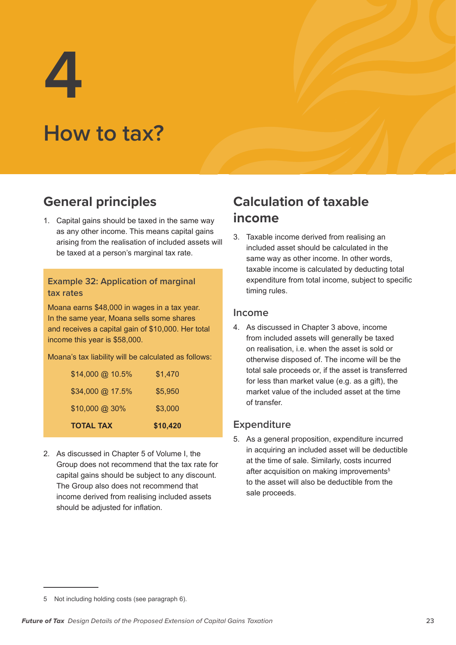**4**

# **How to tax?**

# **General principles**

1. Capital gains should be taxed in the same way as any other income. This means capital gains arising from the realisation of included assets will be taxed at a person's marginal tax rate.

#### **Example 32: Application of marginal tax rates**

Moana earns \$48,000 in wages in a tax year. In the same year, Moana sells some shares and receives a capital gain of \$10,000. Her total income this year is \$58,000.

Moana's tax liability will be calculated as follows:

| <b>TOTAL TAX</b> | \$10,420 |
|------------------|----------|
| \$10,000 @ 30%   | \$3,000  |
| \$34,000 @ 17.5% | \$5,950  |
| \$14,000 @ 10.5% | \$1,470  |

2. As discussed in Chapter 5 of Volume I, the Group does not recommend that the tax rate for capital gains should be subject to any discount. The Group also does not recommend that income derived from realising included assets should be adjusted for inflation.

# **Calculation of taxable income**

3. Taxable income derived from realising an included asset should be calculated in the same way as other income. In other words, taxable income is calculated by deducting total expenditure from total income, subject to specific timing rules.

### **Income**

4. As discussed in Chapter 3 above, income from included assets will generally be taxed on realisation, i.e. when the asset is sold or otherwise disposed of. The income will be the total sale proceeds or, if the asset is transferred for less than market value (e.g. as a gift), the market value of the included asset at the time of transfer.

## **Expenditure**

5. As a general proposition, expenditure incurred in acquiring an included asset will be deductible at the time of sale. Similarly, costs incurred after acquisition on making improvements<sup>5</sup> to the asset will also be deductible from the sale proceeds.

<sup>5</sup> Not including holding costs (see paragraph 6).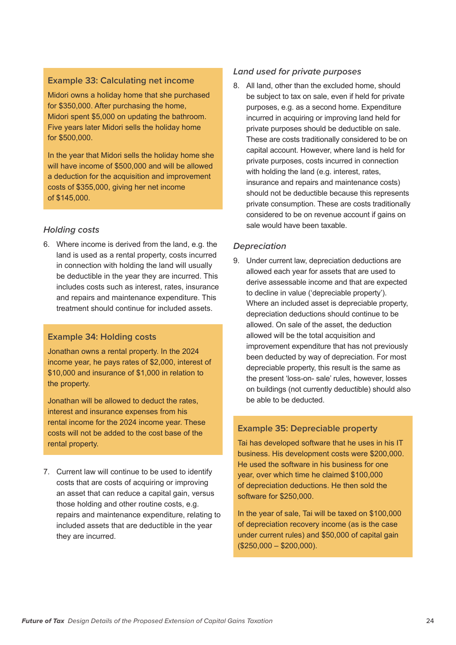#### **Example 33: Calculating net income**

Midori owns a holiday home that she purchased for \$350,000. After purchasing the home, Midori spent \$5,000 on updating the bathroom. Five years later Midori sells the holiday home for \$500,000.

In the year that Midori sells the holiday home she will have income of \$500,000 and will be allowed a deduction for the acquisition and improvement costs of \$355,000, giving her net income of \$145,000.

#### *Holding costs*

6. Where income is derived from the land, e.g. the land is used as a rental property, costs incurred in connection with holding the land will usually be deductible in the year they are incurred. This includes costs such as interest, rates, insurance and repairs and maintenance expenditure. This treatment should continue for included assets.

#### **Example 34: Holding costs**

Jonathan owns a rental property. In the 2024 income year, he pays rates of \$2,000, interest of \$10,000 and insurance of \$1,000 in relation to the property.

Jonathan will be allowed to deduct the rates, interest and insurance expenses from his rental income for the 2024 income year. These costs will not be added to the cost base of the rental property.

7. Current law will continue to be used to identify costs that are costs of acquiring or improving an asset that can reduce a capital gain, versus those holding and other routine costs, e.g. repairs and maintenance expenditure, relating to included assets that are deductible in the year they are incurred.

#### *Land used for private purposes*

8. All land, other than the excluded home, should be subject to tax on sale, even if held for private purposes, e.g. as a second home. Expenditure incurred in acquiring or improving land held for private purposes should be deductible on sale. These are costs traditionally considered to be on capital account. However, where land is held for private purposes, costs incurred in connection with holding the land (e.g. interest, rates, insurance and repairs and maintenance costs) should not be deductible because this represents private consumption. These are costs traditionally considered to be on revenue account if gains on sale would have been taxable.

#### *Depreciation*

9. Under current law, depreciation deductions are allowed each year for assets that are used to derive assessable income and that are expected to decline in value ('depreciable property'). Where an included asset is depreciable property, depreciation deductions should continue to be allowed. On sale of the asset, the deduction allowed will be the total acquisition and improvement expenditure that has not previously been deducted by way of depreciation. For most depreciable property, this result is the same as the present 'loss-on- sale' rules, however, losses on buildings (not currently deductible) should also be able to be deducted.

#### **Example 35: Depreciable property**

Tai has developed software that he uses in his IT business. His development costs were \$200,000. He used the software in his business for one year, over which time he claimed \$100,000 of depreciation deductions. He then sold the software for \$250,000.

In the year of sale, Tai will be taxed on \$100,000 of depreciation recovery income (as is the case under current rules) and \$50,000 of capital gain (\$250,000 – \$200,000).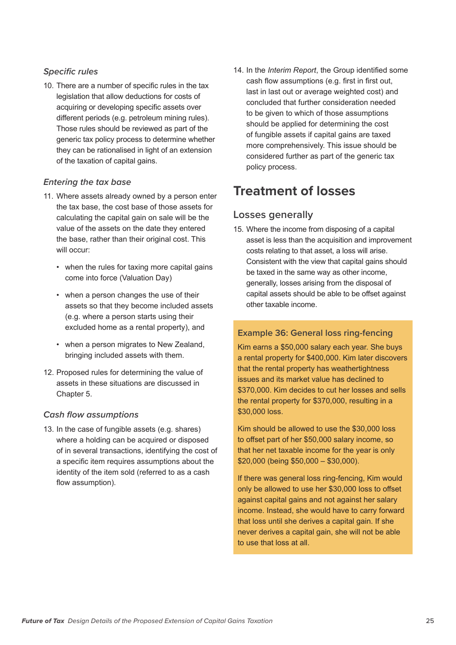#### *Specific rules*

10. There are a number of specific rules in the tax legislation that allow deductions for costs of acquiring or developing specific assets over different periods (e.g. petroleum mining rules). Those rules should be reviewed as part of the generic tax policy process to determine whether they can be rationalised in light of an extension of the taxation of capital gains.

#### *Entering the tax base*

- 11. Where assets already owned by a person enter the tax base, the cost base of those assets for calculating the capital gain on sale will be the value of the assets on the date they entered the base, rather than their original cost. This will occur:
	- when the rules for taxing more capital gains come into force (Valuation Day)
	- when a person changes the use of their assets so that they become included assets (e.g. where a person starts using their excluded home as a rental property), and
	- when a person migrates to New Zealand, bringing included assets with them.
- 12. Proposed rules for determining the value of assets in these situations are discussed in Chapter 5.

#### *Cash flow assumptions*

13. In the case of fungible assets (e.g. shares) where a holding can be acquired or disposed of in several transactions, identifying the cost of a specific item requires assumptions about the identity of the item sold (referred to as a cash flow assumption).

14. In the *Interim Report*, the Group identified some cash flow assumptions (e.g. first in first out, last in last out or average weighted cost) and concluded that further consideration needed to be given to which of those assumptions should be applied for determining the cost of fungible assets if capital gains are taxed more comprehensively. This issue should be considered further as part of the generic tax policy process.

# **Treatment of losses**

### **Losses generally**

15. Where the income from disposing of a capital asset is less than the acquisition and improvement costs relating to that asset, a loss will arise. Consistent with the view that capital gains should be taxed in the same way as other income, generally, losses arising from the disposal of capital assets should be able to be offset against other taxable income.

#### **Example 36: General loss ring-fencing**

Kim earns a \$50,000 salary each year. She buys a rental property for \$400,000. Kim later discovers that the rental property has weathertightness issues and its market value has declined to \$370,000. Kim decides to cut her losses and sells the rental property for \$370,000, resulting in a \$30,000 loss.

Kim should be allowed to use the \$30,000 loss to offset part of her \$50,000 salary income, so that her net taxable income for the year is only \$20,000 (being \$50,000 – \$30,000).

If there was general loss ring-fencing, Kim would only be allowed to use her \$30,000 loss to offset against capital gains and not against her salary income. Instead, she would have to carry forward that loss until she derives a capital gain. If she never derives a capital gain, she will not be able to use that loss at all.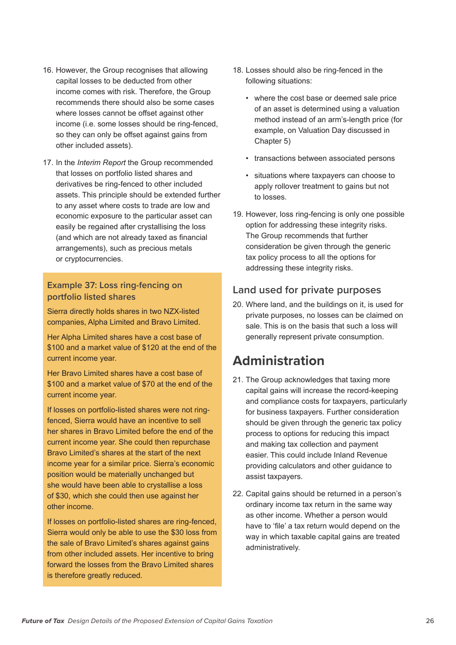- 16. However, the Group recognises that allowing capital losses to be deducted from other income comes with risk. Therefore, the Group recommends there should also be some cases where losses cannot be offset against other income (i.e. some losses should be ring-fenced, so they can only be offset against gains from other included assets).
- 17. In the *Interim Report* the Group recommended that losses on portfolio listed shares and derivatives be ring-fenced to other included assets. This principle should be extended further to any asset where costs to trade are low and economic exposure to the particular asset can easily be regained after crystallising the loss (and which are not already taxed as financial arrangements), such as precious metals or cryptocurrencies.

#### **Example 37: Loss ring-fencing on portfolio listed shares**

Sierra directly holds shares in two NZX-listed companies, Alpha Limited and Bravo Limited.

Her Alpha Limited shares have a cost base of \$100 and a market value of \$120 at the end of the current income year.

Her Bravo Limited shares have a cost base of \$100 and a market value of \$70 at the end of the current income year.

If losses on portfolio-listed shares were not ringfenced, Sierra would have an incentive to sell her shares in Bravo Limited before the end of the current income year. She could then repurchase Bravo Limited's shares at the start of the next income year for a similar price. Sierra's economic position would be materially unchanged but she would have been able to crystallise a loss of \$30, which she could then use against her other income.

If losses on portfolio-listed shares are ring-fenced, Sierra would only be able to use the \$30 loss from the sale of Bravo Limited's shares against gains from other included assets. Her incentive to bring forward the losses from the Bravo Limited shares is therefore greatly reduced.

- 18. Losses should also be ring-fenced in the following situations:
	- where the cost base or deemed sale price of an asset is determined using a valuation method instead of an arm's-length price (for example, on Valuation Day discussed in Chapter 5)
	- transactions between associated persons
	- situations where taxpayers can choose to apply rollover treatment to gains but not to losses.
- 19. However, loss ring-fencing is only one possible option for addressing these integrity risks. The Group recommends that further consideration be given through the generic tax policy process to all the options for addressing these integrity risks.

## **Land used for private purposes**

20. Where land, and the buildings on it, is used for private purposes, no losses can be claimed on sale. This is on the basis that such a loss will generally represent private consumption.

# **Administration**

- 21. The Group acknowledges that taxing more capital gains will increase the record-keeping and compliance costs for taxpayers, particularly for business taxpayers. Further consideration should be given through the generic tax policy process to options for reducing this impact and making tax collection and payment easier. This could include Inland Revenue providing calculators and other guidance to assist taxpayers.
- 22. Capital gains should be returned in a person's ordinary income tax return in the same way as other income. Whether a person would have to 'file' a tax return would depend on the way in which taxable capital gains are treated administratively.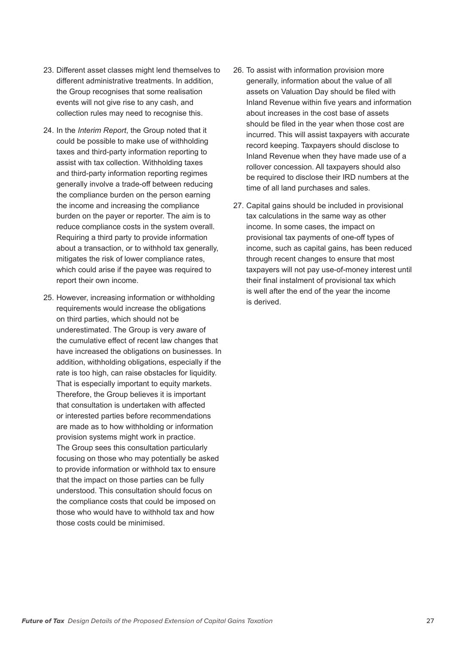- 23. Different asset classes might lend themselves to different administrative treatments. In addition, the Group recognises that some realisation events will not give rise to any cash, and collection rules may need to recognise this.
- 24. In the *Interim Report*, the Group noted that it could be possible to make use of withholding taxes and third-party information reporting to assist with tax collection. Withholding taxes and third-party information reporting regimes generally involve a trade-off between reducing the compliance burden on the person earning the income and increasing the compliance burden on the payer or reporter. The aim is to reduce compliance costs in the system overall. Requiring a third party to provide information about a transaction, or to withhold tax generally, mitigates the risk of lower compliance rates, which could arise if the payee was required to report their own income.
- 25. However, increasing information or withholding requirements would increase the obligations on third parties, which should not be underestimated. The Group is very aware of the cumulative effect of recent law changes that have increased the obligations on businesses. In addition, withholding obligations, especially if the rate is too high, can raise obstacles for liquidity. That is especially important to equity markets. Therefore, the Group believes it is important that consultation is undertaken with affected or interested parties before recommendations are made as to how withholding or information provision systems might work in practice. The Group sees this consultation particularly focusing on those who may potentially be asked to provide information or withhold tax to ensure that the impact on those parties can be fully understood. This consultation should focus on the compliance costs that could be imposed on those who would have to withhold tax and how those costs could be minimised.
- 26. To assist with information provision more generally, information about the value of all assets on Valuation Day should be filed with Inland Revenue within five years and information about increases in the cost base of assets should be filed in the year when those cost are incurred. This will assist taxpayers with accurate record keeping. Taxpayers should disclose to Inland Revenue when they have made use of a rollover concession. All taxpayers should also be required to disclose their IRD numbers at the time of all land purchases and sales.
- 27. Capital gains should be included in provisional tax calculations in the same way as other income. In some cases, the impact on provisional tax payments of one-off types of income, such as capital gains, has been reduced through recent changes to ensure that most taxpayers will not pay use-of-money interest until their final instalment of provisional tax which is well after the end of the year the income is derived.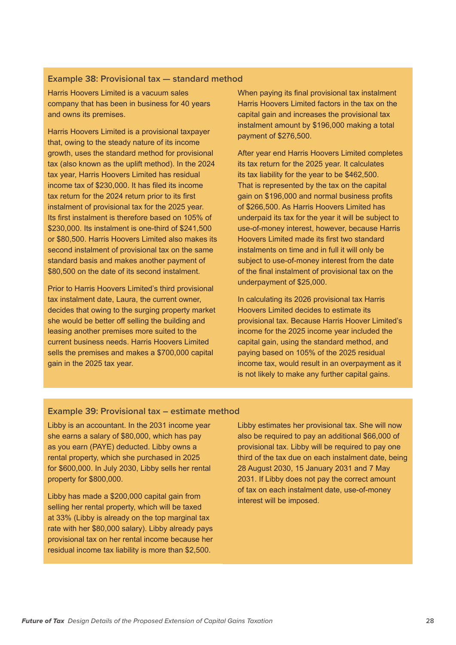#### **Example 38: Provisional tax — standard method**

Harris Hoovers Limited is a vacuum sales company that has been in business for 40 years and owns its premises.

Harris Hoovers Limited is a provisional taxpayer that, owing to the steady nature of its income growth, uses the standard method for provisional tax (also known as the uplift method). In the 2024 tax year, Harris Hoovers Limited has residual income tax of \$230,000. It has filed its income tax return for the 2024 return prior to its first instalment of provisional tax for the 2025 year. Its first instalment is therefore based on 105% of \$230,000. Its instalment is one-third of \$241,500 or \$80,500. Harris Hoovers Limited also makes its second instalment of provisional tax on the same standard basis and makes another payment of \$80,500 on the date of its second instalment.

Prior to Harris Hoovers Limited's third provisional tax instalment date, Laura, the current owner, decides that owing to the surging property market she would be better off selling the building and leasing another premises more suited to the current business needs. Harris Hoovers Limited sells the premises and makes a \$700,000 capital gain in the 2025 tax year.

When paying its final provisional tax instalment Harris Hoovers Limited factors in the tax on the capital gain and increases the provisional tax instalment amount by \$196,000 making a total payment of \$276,500.

After year end Harris Hoovers Limited completes its tax return for the 2025 year. It calculates its tax liability for the year to be \$462,500. That is represented by the tax on the capital gain on \$196,000 and normal business profits of \$266,500. As Harris Hoovers Limited has underpaid its tax for the year it will be subject to use-of-money interest, however, because Harris Hoovers Limited made its first two standard instalments on time and in full it will only be subject to use-of-money interest from the date of the final instalment of provisional tax on the underpayment of \$25,000.

In calculating its 2026 provisional tax Harris Hoovers Limited decides to estimate its provisional tax. Because Harris Hoover Limited's income for the 2025 income year included the capital gain, using the standard method, and paying based on 105% of the 2025 residual income tax, would result in an overpayment as it is not likely to make any further capital gains.

#### **Example 39: Provisional tax – estimate method**

Libby is an accountant. In the 2031 income year she earns a salary of \$80,000, which has pay as you earn (PAYE) deducted. Libby owns a rental property, which she purchased in 2025 for \$600,000. In July 2030, Libby sells her rental property for \$800,000.

Libby has made a \$200,000 capital gain from selling her rental property, which will be taxed at 33% (Libby is already on the top marginal tax rate with her \$80,000 salary). Libby already pays provisional tax on her rental income because her residual income tax liability is more than \$2,500.

Libby estimates her provisional tax. She will now also be required to pay an additional \$66,000 of provisional tax. Libby will be required to pay one third of the tax due on each instalment date, being 28 August 2030, 15 January 2031 and 7 May 2031. If Libby does not pay the correct amount of tax on each instalment date, use-of-money interest will be imposed.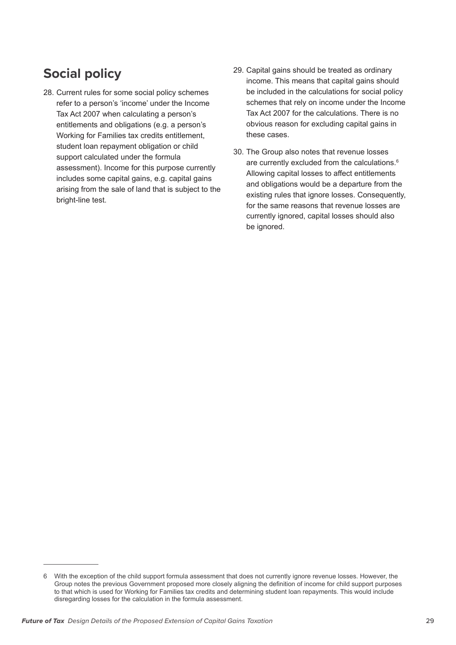# **Social policy**

- 28. Current rules for some social policy schemes refer to a person's 'income' under the Income Tax Act 2007 when calculating a person's entitlements and obligations (e.g. a person's Working for Families tax credits entitlement, student loan repayment obligation or child support calculated under the formula assessment). Income for this purpose currently includes some capital gains, e.g. capital gains arising from the sale of land that is subject to the bright-line test.
- 29. Capital gains should be treated as ordinary income. This means that capital gains should be included in the calculations for social policy schemes that rely on income under the Income Tax Act 2007 for the calculations. There is no obvious reason for excluding capital gains in these cases.
- 30. The Group also notes that revenue losses are currently excluded from the calculations.<sup>6</sup> Allowing capital losses to affect entitlements and obligations would be a departure from the existing rules that ignore losses. Consequently, for the same reasons that revenue losses are currently ignored, capital losses should also be ignored.

<sup>6</sup> With the exception of the child support formula assessment that does not currently ignore revenue losses. However, the Group notes the previous Government proposed more closely aligning the definition of income for child support purposes to that which is used for Working for Families tax credits and determining student loan repayments. This would include disregarding losses for the calculation in the formula assessment.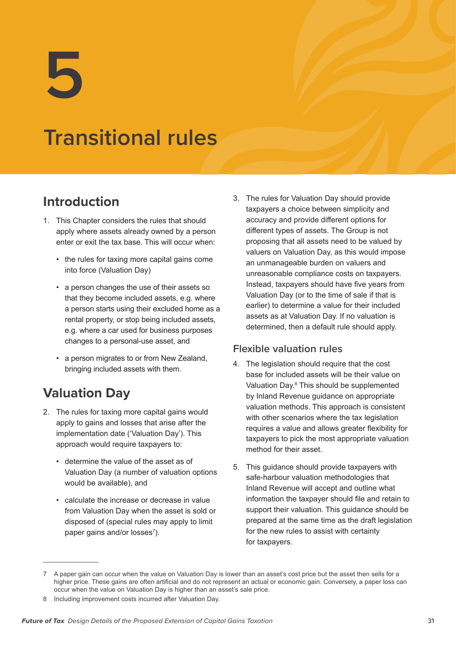**5**

# **Transitional rules**

# **Introduction**

- 1. This Chapter considers the rules that should apply where assets already owned by a person enter or exit the tax base. This will occur when:
	- the rules for taxing more capital gains come into force (Valuation Day)
	- a person changes the use of their assets so that they become included assets, e.g. where a person starts using their excluded home as a rental property, or stop being included assets, e.g. where a car used for business purposes changes to a personal-use asset, and
	- a person migrates to or from New Zealand, bringing included assets with them.

# **Valuation Day**

- 2. The rules for taxing more capital gains would apply to gains and losses that arise after the implementation date ('Valuation Day'). This approach would require taxpayers to:
	- determine the value of the asset as of Valuation Day (a number of valuation options would be available), and
	- calculate the increase or decrease in value from Valuation Day when the asset is sold or disposed of (special rules may apply to limit paper gains and/or losses<sup>7</sup>).

3. The rules for Valuation Day should provide taxpayers a choice between simplicity and accuracy and provide different options for different types of assets. The Group is not proposing that all assets need to be valued by valuers on Valuation Day, as this would impose an unmanageable burden on valuers and unreasonable compliance costs on taxpayers. Instead, taxpayers should have five years from Valuation Day (or to the time of sale if that is earlier) to determine a value for their included assets as at Valuation Day. If no valuation is determined, then a default rule should apply.

## **Flexible valuation rules**

- 4. The legislation should require that the cost base for included assets will be their value on Valuation Day.<sup>8</sup> This should be supplemented by Inland Revenue guidance on appropriate valuation methods. This approach is consistent with other scenarios where the tax legislation requires a value and allows greater flexibility for taxpayers to pick the most appropriate valuation method for their asset.
- 5. This guidance should provide taxpayers with safe-harbour valuation methodologies that Inland Revenue will accept and outline what information the taxpayer should file and retain to support their valuation. This guidance should be prepared at the same time as the draft legislation for the new rules to assist with certainty for taxpayers.

<sup>7</sup> A paper gain can occur when the value on Valuation Day is lower than an asset's cost price but the asset then sells for a higher price. These gains are often artificial and do not represent an actual or economic gain. Conversely, a paper loss can occur when the value on Valuation Day is higher than an asset's sale price.

<sup>8</sup> Including improvement costs incurred after Valuation Day.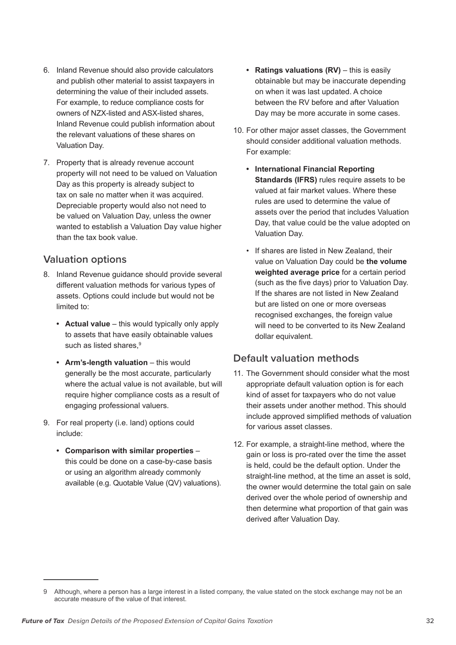- 6. Inland Revenue should also provide calculators and publish other material to assist taxpayers in determining the value of their included assets. For example, to reduce compliance costs for owners of NZX-listed and ASX-listed shares, Inland Revenue could publish information about the relevant valuations of these shares on Valuation Day.
- 7. Property that is already revenue account property will not need to be valued on Valuation Day as this property is already subject to tax on sale no matter when it was acquired. Depreciable property would also not need to be valued on Valuation Day, unless the owner wanted to establish a Valuation Day value higher than the tax book value.

## **Valuation options**

- 8. Inland Revenue guidance should provide several different valuation methods for various types of assets. Options could include but would not be limited to:
	- **• Actual value** this would typically only apply to assets that have easily obtainable values such as listed shares.<sup>9</sup>
	- **• Arm's-length valuation** this would generally be the most accurate, particularly where the actual value is not available, but will require higher compliance costs as a result of engaging professional valuers.
- 9. For real property (i.e. land) options could include:
	- **• Comparison with similar properties** this could be done on a case-by-case basis or using an algorithm already commonly available (e.g. Quotable Value (QV) valuations).
- **• Ratings valuations (RV)** this is easily obtainable but may be inaccurate depending on when it was last updated. A choice between the RV before and after Valuation Day may be more accurate in some cases.
- 10. For other major asset classes, the Government should consider additional valuation methods. For example:
	- **• International Financial Reporting Standards (IFRS)** rules require assets to be valued at fair market values. Where these rules are used to determine the value of assets over the period that includes Valuation Day, that value could be the value adopted on Valuation Day.
	- If shares are listed in New Zealand, their value on Valuation Day could be **the volume weighted average price** for a certain period (such as the five days) prior to Valuation Day. If the shares are not listed in New Zealand but are listed on one or more overseas recognised exchanges, the foreign value will need to be converted to its New Zealand dollar equivalent.

## **Default valuation methods**

- 11. The Government should consider what the most appropriate default valuation option is for each kind of asset for taxpayers who do not value their assets under another method. This should include approved simplified methods of valuation for various asset classes.
- 12. For example, a straight-line method, where the gain or loss is pro-rated over the time the asset is held, could be the default option. Under the straight-line method, at the time an asset is sold, the owner would determine the total gain on sale derived over the whole period of ownership and then determine what proportion of that gain was derived after Valuation Day.

<sup>9</sup> Although, where a person has a large interest in a listed company, the value stated on the stock exchange may not be an accurate measure of the value of that interest.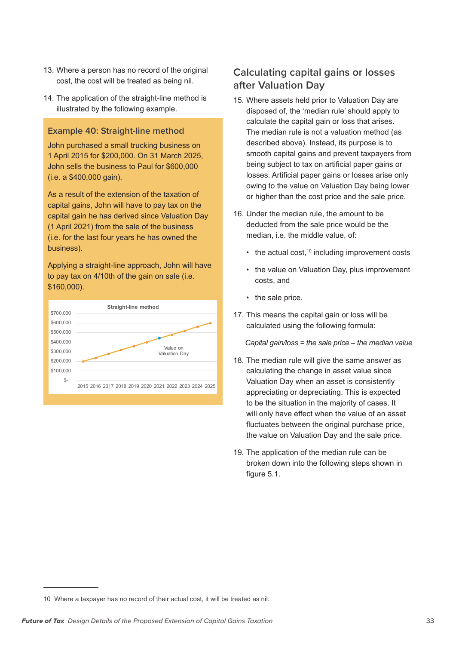- 13. Where a person has no record of the original cost, the cost will be treated as being nil.
- 14. The application of the straight-line method is illustrated by the following example.

#### **Example 40: Straight-line method**

John purchased a small trucking business on 1 April 2015 for \$200,000. On 31 March 2025, John sells the business to Paul for \$600,000 (i.e. a \$400,000 gain).

As a result of the extension of the taxation of capital gains, John will have to pay tax on the capital gain he has derived since Valuation Day (1 April 2021) from the sale of the business (i.e. for the last four years he has owned the business).

Applying a straight-line approach, John will have to pay tax on 4/10th of the gain on sale (i.e. \$160,000).



## **Calculating capital gains or losses after Valuation Day**

- 15. Where assets held prior to Valuation Day are disposed of, the 'median rule' should apply to calculate the capital gain or loss that arises. The median rule is not a valuation method (as described above). Instead, its purpose is to smooth capital gains and prevent taxpayers from being subject to tax on artificial paper gains or losses. Artificial paper gains or losses arise only owing to the value on Valuation Day being lower or higher than the cost price and the sale price.
- 16. Under the median rule, the amount to be deducted from the sale price would be the median, i.e. the middle value, of:
	- $\cdot$  the actual cost,<sup>10</sup> including improvement costs
	- the value on Valuation Day, plus improvement costs, and
	- the sale price.
- 17. This means the capital gain or loss will be calculated using the following formula:

*Capital gain/loss = the sale price – the median value*

- 18. The median rule will give the same answer as calculating the change in asset value since Valuation Day when an asset is consistently appreciating or depreciating. This is expected to be the situation in the majority of cases. It will only have effect when the value of an asset fluctuates between the original purchase price, the value on Valuation Day and the sale price.
- 19. The application of the median rule can be broken down into the following steps shown in figure 5.1.

<sup>10</sup> Where a taxpayer has no record of their actual cost, it will be treated as nil.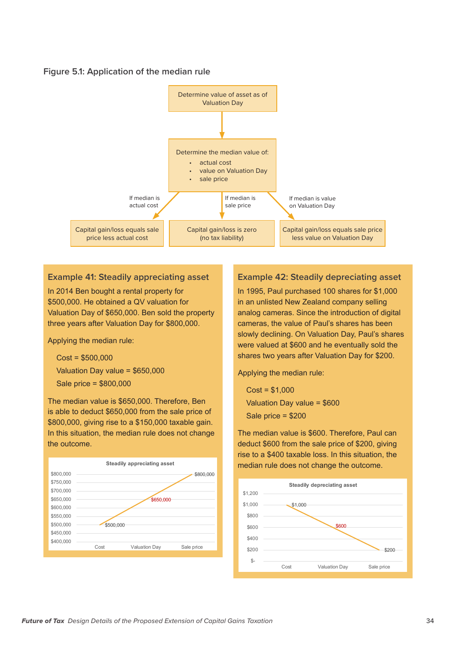#### **Figure 5.1: Application of the median rule**



#### **Example 41: Steadily appreciating asset**

In 2014 Ben bought a rental property for \$500,000. He obtained a QV valuation for Valuation Day of \$650,000. Ben sold the property three years after Valuation Day for \$800,000.

Applying the median rule:

Cost = \$500,000 Valuation Day value = \$650,000 Sale price = \$800,000

The median value is \$650,000. Therefore, Ben is able to deduct \$650,000 from the sale price of \$800,000, giving rise to a \$150,000 taxable gain. In this situation, the median rule does not change the outcome.



#### **Example 42: Steadily depreciating asset**

In 1995, Paul purchased 100 shares for \$1,000 in an unlisted New Zealand company selling analog cameras. Since the introduction of digital cameras, the value of Paul's shares has been slowly declining. On Valuation Day, Paul's shares were valued at \$600 and he eventually sold the shares two years after Valuation Day for \$200.

Applying the median rule:

 $Cost = $1,000$ Valuation Day value = \$600 Sale price = \$200

The median value is \$600. Therefore, Paul can deduct \$600 from the sale price of \$200, giving rise to a \$400 taxable loss. In this situation, the median rule does not change the outcome.

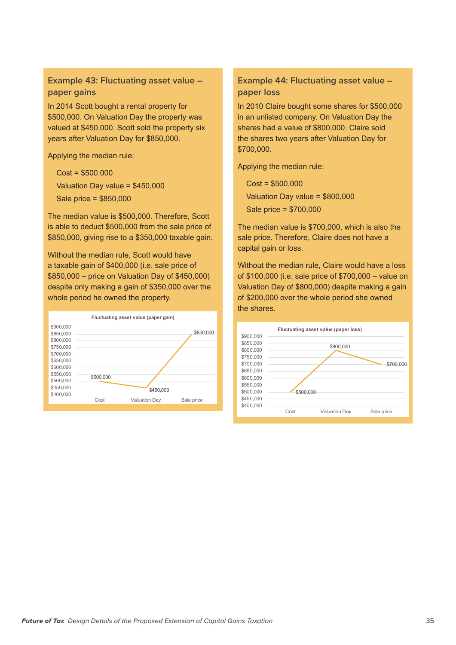#### **Example 43: Fluctuating asset value – paper gains**

In 2014 Scott bought a rental property for \$500,000. On Valuation Day the property was valued at \$450,000. Scott sold the property six years after Valuation Day for \$850,000.

Applying the median rule:

Cost = \$500,000

Valuation Day value = \$450,000

Sale price = \$850,000

The median value is \$500,000. Therefore, Scott is able to deduct \$500,000 from the sale price of \$850,000, giving rise to a \$350,000 taxable gain.

Without the median rule, Scott would have a taxable gain of \$400,000 (i.e. sale price of \$850,000 – price on Valuation Day of \$450,000) despite only making a gain of \$350,000 over the whole period he owned the property.



#### **Example 44: Fluctuating asset value – paper loss**

In 2010 Claire bought some shares for \$500,000 in an unlisted company. On Valuation Day the shares had a value of \$800,000. Claire sold the shares two years after Valuation Day for \$700,000.

Applying the median rule:

Cost = \$500,000 Valuation Day value = \$800,000 Sale price = \$700,000

The median value is \$700,000, which is also the sale price. Therefore, Claire does not have a capital gain or loss.

Without the median rule, Claire would have a loss of \$100,000 (i.e. sale price of \$700,000 – value on Valuation Day of \$800,000) despite making a gain of \$200,000 over the whole period she owned the shares.

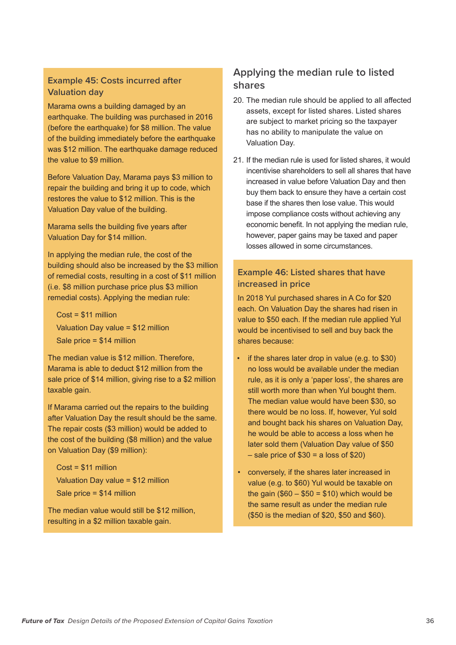#### **Example 45: Costs incurred after Valuation day**

Marama owns a building damaged by an earthquake. The building was purchased in 2016 (before the earthquake) for \$8 million. The value of the building immediately before the earthquake was \$12 million. The earthquake damage reduced the value to \$9 million.

Before Valuation Day, Marama pays \$3 million to repair the building and bring it up to code, which restores the value to \$12 million. This is the Valuation Day value of the building.

Marama sells the building five years after Valuation Day for \$14 million.

In applying the median rule, the cost of the building should also be increased by the \$3 million of remedial costs, resulting in a cost of \$11 million (i.e. \$8 million purchase price plus \$3 million remedial costs). Applying the median rule:

Cost = \$11 million Valuation Day value = \$12 million Sale price = \$14 million

The median value is \$12 million. Therefore, Marama is able to deduct \$12 million from the sale price of \$14 million, giving rise to a \$2 million taxable gain.

If Marama carried out the repairs to the building after Valuation Day the result should be the same. The repair costs (\$3 million) would be added to the cost of the building (\$8 million) and the value on Valuation Day (\$9 million):

Cost = \$11 million Valuation Day value = \$12 million Sale price = \$14 million

The median value would still be \$12 million, resulting in a \$2 million taxable gain.

#### **Applying the median rule to listed shares**

- 20. The median rule should be applied to all affected assets, except for listed shares. Listed shares are subject to market pricing so the taxpayer has no ability to manipulate the value on Valuation Day.
- 21. If the median rule is used for listed shares, it would incentivise shareholders to sell all shares that have increased in value before Valuation Day and then buy them back to ensure they have a certain cost base if the shares then lose value. This would impose compliance costs without achieving any economic benefit. In not applying the median rule, however, paper gains may be taxed and paper losses allowed in some circumstances.

#### **Example 46: Listed shares that have increased in price**

In 2018 Yul purchased shares in A Co for \$20 each. On Valuation Day the shares had risen in value to \$50 each. If the median rule applied Yul would be incentivised to sell and buy back the shares because:

- if the shares later drop in value (e.g. to \$30) no loss would be available under the median rule, as it is only a 'paper loss', the shares are still worth more than when Yul bought them. The median value would have been \$30, so there would be no loss. If, however, Yul sold and bought back his shares on Valuation Day, he would be able to access a loss when he later sold them (Valuation Day value of \$50  $-$  sale price of \$30 = a loss of \$20)
- conversely, if the shares later increased in value (e.g. to \$60) Yul would be taxable on the gain  $(\$60 - \$50 = \$10)$  which would be the same result as under the median rule (\$50 is the median of \$20, \$50 and \$60).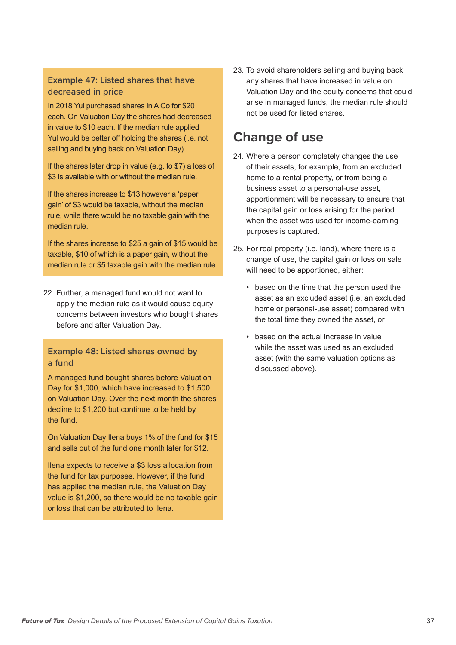#### **Example 47: Listed shares that have decreased in price**

In 2018 Yul purchased shares in A Co for \$20 each. On Valuation Day the shares had decreased in value to \$10 each. If the median rule applied Yul would be better off holding the shares (i.e. not selling and buying back on Valuation Day).

If the shares later drop in value (e.g. to \$7) a loss of \$3 is available with or without the median rule.

If the shares increase to \$13 however a 'paper gain' of \$3 would be taxable, without the median rule, while there would be no taxable gain with the median rule.

If the shares increase to \$25 a gain of \$15 would be taxable, \$10 of which is a paper gain, without the median rule or \$5 taxable gain with the median rule.

22. Further, a managed fund would not want to apply the median rule as it would cause equity concerns between investors who bought shares before and after Valuation Day.

#### **Example 48: Listed shares owned by a fund**

A managed fund bought shares before Valuation Day for \$1,000, which have increased to \$1,500 on Valuation Day. Over the next month the shares decline to \$1,200 but continue to be held by the fund.

On Valuation Day Ilena buys 1% of the fund for \$15 and sells out of the fund one month later for \$12.

Ilena expects to receive a \$3 loss allocation from the fund for tax purposes. However, if the fund has applied the median rule, the Valuation Day value is \$1,200, so there would be no taxable gain or loss that can be attributed to Ilena.

23. To avoid shareholders selling and buying back any shares that have increased in value on Valuation Day and the equity concerns that could arise in managed funds, the median rule should not be used for listed shares.

## **Change of use**

- 24. Where a person completely changes the use of their assets, for example, from an excluded home to a rental property, or from being a business asset to a personal-use asset, apportionment will be necessary to ensure that the capital gain or loss arising for the period when the asset was used for income-earning purposes is captured.
- 25. For real property (i.e. land), where there is a change of use, the capital gain or loss on sale will need to be apportioned, either:
	- based on the time that the person used the asset as an excluded asset (i.e. an excluded home or personal-use asset) compared with the total time they owned the asset, or
	- based on the actual increase in value while the asset was used as an excluded asset (with the same valuation options as discussed above).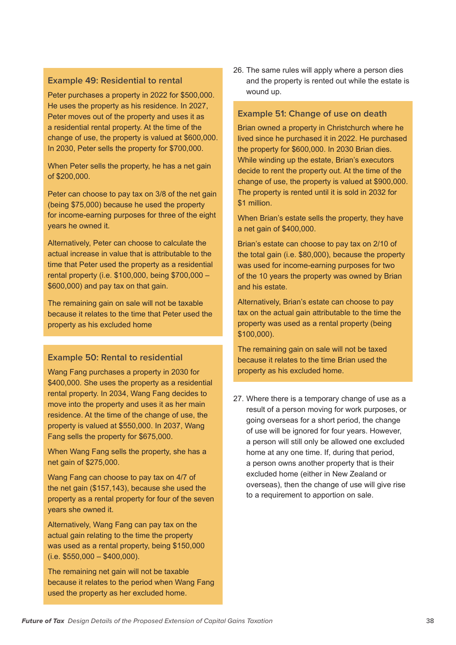#### **Example 49: Residential to rental**

Peter purchases a property in 2022 for \$500,000. He uses the property as his residence. In 2027, Peter moves out of the property and uses it as a residential rental property. At the time of the change of use, the property is valued at \$600,000. In 2030, Peter sells the property for \$700,000.

When Peter sells the property, he has a net gain of \$200,000.

Peter can choose to pay tax on 3/8 of the net gain (being \$75,000) because he used the property for income-earning purposes for three of the eight years he owned it.

Alternatively, Peter can choose to calculate the actual increase in value that is attributable to the time that Peter used the property as a residential rental property (i.e. \$100,000, being \$700,000 – \$600,000) and pay tax on that gain.

The remaining gain on sale will not be taxable because it relates to the time that Peter used the property as his excluded home

#### **Example 50: Rental to residential**

Wang Fang purchases a property in 2030 for \$400,000. She uses the property as a residential rental property. In 2034, Wang Fang decides to move into the property and uses it as her main residence. At the time of the change of use, the property is valued at \$550,000. In 2037, Wang Fang sells the property for \$675,000.

When Wang Fang sells the property, she has a net gain of \$275,000.

Wang Fang can choose to pay tax on 4/7 of the net gain (\$157,143), because she used the property as a rental property for four of the seven years she owned it.

Alternatively, Wang Fang can pay tax on the actual gain relating to the time the property was used as a rental property, being \$150,000  $(i.e. $550,000 - $400,000).$ 

The remaining net gain will not be taxable because it relates to the period when Wang Fang used the property as her excluded home.

26. The same rules will apply where a person dies and the property is rented out while the estate is wound up.

#### **Example 51: Change of use on death**

Brian owned a property in Christchurch where he lived since he purchased it in 2022. He purchased the property for \$600,000. In 2030 Brian dies. While winding up the estate, Brian's executors decide to rent the property out. At the time of the change of use, the property is valued at \$900,000. The property is rented until it is sold in 2032 for \$1 million.

When Brian's estate sells the property, they have a net gain of \$400,000.

Brian's estate can choose to pay tax on 2/10 of the total gain (i.e. \$80,000), because the property was used for income-earning purposes for two of the 10 years the property was owned by Brian and his estate.

Alternatively, Brian's estate can choose to pay tax on the actual gain attributable to the time the property was used as a rental property (being \$100,000).

The remaining gain on sale will not be taxed because it relates to the time Brian used the property as his excluded home.

27. Where there is a temporary change of use as a result of a person moving for work purposes, or going overseas for a short period, the change of use will be ignored for four years. However, a person will still only be allowed one excluded home at any one time. If, during that period, a person owns another property that is their excluded home (either in New Zealand or overseas), then the change of use will give rise to a requirement to apportion on sale.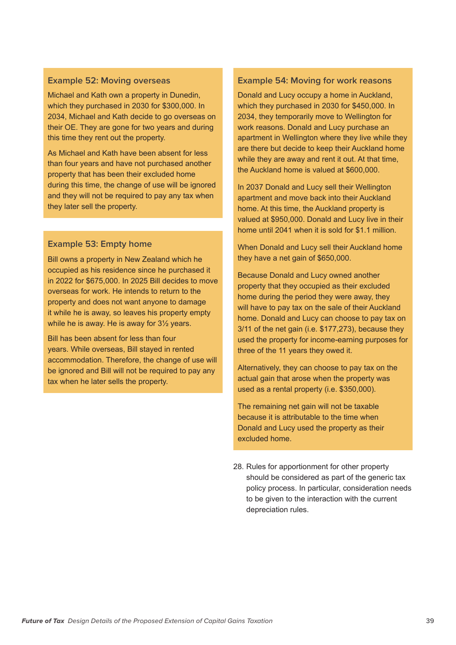#### **Example 52: Moving overseas**

Michael and Kath own a property in Dunedin, which they purchased in 2030 for \$300,000. In 2034, Michael and Kath decide to go overseas on their OE. They are gone for two years and during this time they rent out the property.

As Michael and Kath have been absent for less than four years and have not purchased another property that has been their excluded home during this time, the change of use will be ignored and they will not be required to pay any tax when they later sell the property.

#### **Example 53: Empty home**

Bill owns a property in New Zealand which he occupied as his residence since he purchased it in 2022 for \$675,000. In 2025 Bill decides to move overseas for work. He intends to return to the property and does not want anyone to damage it while he is away, so leaves his property empty while he is away. He is away for 3½ years.

Bill has been absent for less than four years. While overseas, Bill stayed in rented accommodation. Therefore, the change of use will be ignored and Bill will not be required to pay any tax when he later sells the property.

#### **Example 54: Moving for work reasons**

Donald and Lucy occupy a home in Auckland, which they purchased in 2030 for \$450,000. In 2034, they temporarily move to Wellington for work reasons. Donald and Lucy purchase an apartment in Wellington where they live while they are there but decide to keep their Auckland home while they are away and rent it out. At that time, the Auckland home is valued at \$600,000.

In 2037 Donald and Lucy sell their Wellington apartment and move back into their Auckland home. At this time, the Auckland property is valued at \$950,000. Donald and Lucy live in their home until 2041 when it is sold for \$1.1 million.

When Donald and Lucy sell their Auckland home they have a net gain of \$650,000.

Because Donald and Lucy owned another property that they occupied as their excluded home during the period they were away, they will have to pay tax on the sale of their Auckland home. Donald and Lucy can choose to pay tax on 3/11 of the net gain (i.e. \$177,273), because they used the property for income-earning purposes for three of the 11 years they owed it.

Alternatively, they can choose to pay tax on the actual gain that arose when the property was used as a rental property (i.e. \$350,000).

The remaining net gain will not be taxable because it is attributable to the time when Donald and Lucy used the property as their excluded home.

28. Rules for apportionment for other property should be considered as part of the generic tax policy process. In particular, consideration needs to be given to the interaction with the current depreciation rules.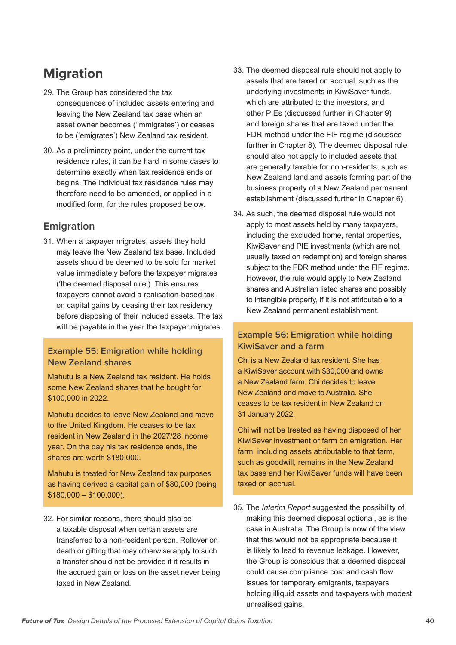## **Migration**

- 29. The Group has considered the tax consequences of included assets entering and leaving the New Zealand tax base when an asset owner becomes ('immigrates') or ceases to be ('emigrates') New Zealand tax resident.
- 30. As a preliminary point, under the current tax residence rules, it can be hard in some cases to determine exactly when tax residence ends or begins. The individual tax residence rules may therefore need to be amended, or applied in a modified form, for the rules proposed below.

#### **Emigration**

31. When a taxpayer migrates, assets they hold may leave the New Zealand tax base. Included assets should be deemed to be sold for market value immediately before the taxpayer migrates ('the deemed disposal rule'). This ensures taxpayers cannot avoid a realisation-based tax on capital gains by ceasing their tax residency before disposing of their included assets. The tax will be payable in the year the taxpayer migrates.

#### **Example 55: Emigration while holding New Zealand shares**

Mahutu is a New Zealand tax resident. He holds some New Zealand shares that he bought for \$100,000 in 2022.

Mahutu decides to leave New Zealand and move to the United Kingdom. He ceases to be tax resident in New Zealand in the 2027/28 income year. On the day his tax residence ends, the shares are worth \$180,000.

Mahutu is treated for New Zealand tax purposes as having derived a capital gain of \$80,000 (being  $$180,000 - $100,000$ ).

32. For similar reasons, there should also be a taxable disposal when certain assets are transferred to a non-resident person. Rollover on death or gifting that may otherwise apply to such a transfer should not be provided if it results in the accrued gain or loss on the asset never being taxed in New Zealand.

- 33. The deemed disposal rule should not apply to assets that are taxed on accrual, such as the underlying investments in KiwiSaver funds, which are attributed to the investors, and other PIEs (discussed further in Chapter 9) and foreign shares that are taxed under the FDR method under the FIF regime (discussed further in Chapter 8). The deemed disposal rule should also not apply to included assets that are generally taxable for non-residents, such as New Zealand land and assets forming part of the business property of a New Zealand permanent establishment (discussed further in Chapter 6).
- 34. As such, the deemed disposal rule would not apply to most assets held by many taxpayers, including the excluded home, rental properties, KiwiSaver and PIE investments (which are not usually taxed on redemption) and foreign shares subject to the FDR method under the FIF regime. However, the rule would apply to New Zealand shares and Australian listed shares and possibly to intangible property, if it is not attributable to a New Zealand permanent establishment.

#### **Example 56: Emigration while holding KiwiSaver and a farm**

Chi is a New Zealand tax resident. She has a KiwiSaver account with \$30,000 and owns a New Zealand farm. Chi decides to leave New Zealand and move to Australia. She ceases to be tax resident in New Zealand on 31 January 2022.

Chi will not be treated as having disposed of her KiwiSaver investment or farm on emigration. Her farm, including assets attributable to that farm, such as goodwill, remains in the New Zealand tax base and her KiwiSaver funds will have been taxed on accrual.

35. The *Interim Report* suggested the possibility of making this deemed disposal optional, as is the case in Australia. The Group is now of the view that this would not be appropriate because it is likely to lead to revenue leakage. However, the Group is conscious that a deemed disposal could cause compliance cost and cash flow issues for temporary emigrants, taxpayers holding illiquid assets and taxpayers with modest unrealised gains.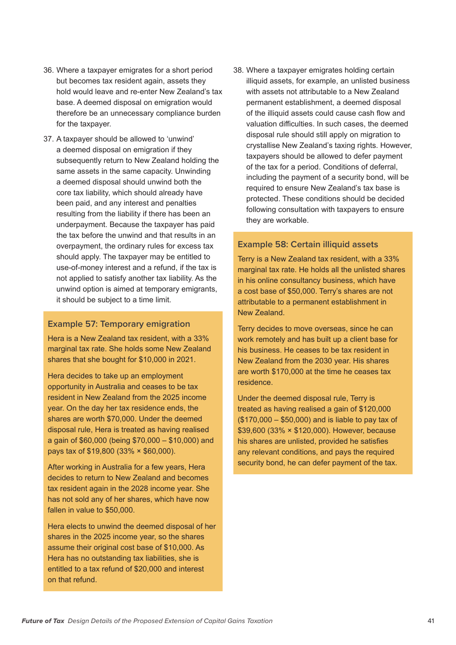- 36. Where a taxpayer emigrates for a short period but becomes tax resident again, assets they hold would leave and re-enter New Zealand's tax base. A deemed disposal on emigration would therefore be an unnecessary compliance burden for the taxpayer.
- 37. A taxpayer should be allowed to 'unwind' a deemed disposal on emigration if they subsequently return to New Zealand holding the same assets in the same capacity. Unwinding a deemed disposal should unwind both the core tax liability, which should already have been paid, and any interest and penalties resulting from the liability if there has been an underpayment. Because the taxpayer has paid the tax before the unwind and that results in an overpayment, the ordinary rules for excess tax should apply. The taxpayer may be entitled to use-of-money interest and a refund, if the tax is not applied to satisfy another tax liability. As the unwind option is aimed at temporary emigrants, it should be subject to a time limit.

#### **Example 57: Temporary emigration**

Hera is a New Zealand tax resident, with a 33% marginal tax rate. She holds some New Zealand shares that she bought for \$10,000 in 2021.

Hera decides to take up an employment opportunity in Australia and ceases to be tax resident in New Zealand from the 2025 income year. On the day her tax residence ends, the shares are worth \$70,000. Under the deemed disposal rule, Hera is treated as having realised a gain of \$60,000 (being \$70,000 – \$10,000) and pays tax of \$19,800 (33% × \$60,000).

After working in Australia for a few years, Hera decides to return to New Zealand and becomes tax resident again in the 2028 income year. She has not sold any of her shares, which have now fallen in value to \$50,000.

Hera elects to unwind the deemed disposal of her shares in the 2025 income year, so the shares assume their original cost base of \$10,000. As Hera has no outstanding tax liabilities, she is entitled to a tax refund of \$20,000 and interest on that refund.

38. Where a taxpayer emigrates holding certain illiquid assets, for example, an unlisted business with assets not attributable to a New Zealand permanent establishment, a deemed disposal of the illiquid assets could cause cash flow and valuation difficulties. In such cases, the deemed disposal rule should still apply on migration to crystallise New Zealand's taxing rights. However, taxpayers should be allowed to defer payment of the tax for a period. Conditions of deferral, including the payment of a security bond, will be required to ensure New Zealand's tax base is protected. These conditions should be decided following consultation with taxpayers to ensure they are workable.

#### **Example 58: Certain illiquid assets**

Terry is a New Zealand tax resident, with a 33% marginal tax rate. He holds all the unlisted shares in his online consultancy business, which have a cost base of \$50,000. Terry's shares are not attributable to a permanent establishment in New Zealand.

Terry decides to move overseas, since he can work remotely and has built up a client base for his business. He ceases to be tax resident in New Zealand from the 2030 year. His shares are worth \$170,000 at the time he ceases tax residence.

Under the deemed disposal rule, Terry is treated as having realised a gain of \$120,000 (\$170,000 – \$50,000) and is liable to pay tax of \$39,600 (33% × \$120,000). However, because his shares are unlisted, provided he satisfies any relevant conditions, and pays the required security bond, he can defer payment of the tax.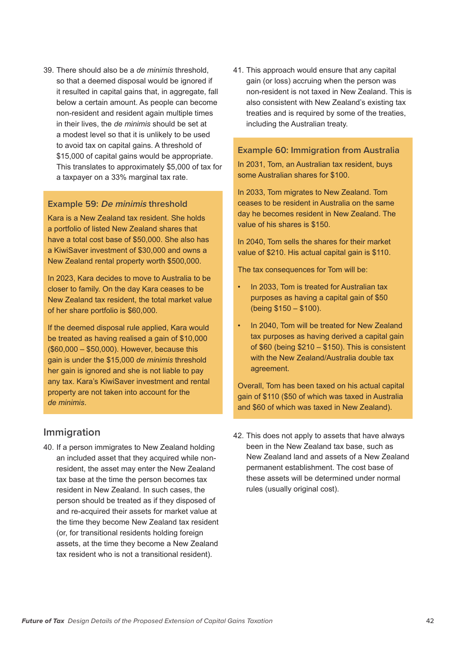39. There should also be a *de minimis* threshold, so that a deemed disposal would be ignored if it resulted in capital gains that, in aggregate, fall below a certain amount. As people can become non-resident and resident again multiple times in their lives, the *de minimis* should be set at a modest level so that it is unlikely to be used to avoid tax on capital gains. A threshold of \$15,000 of capital gains would be appropriate. This translates to approximately \$5,000 of tax for a taxpayer on a 33% marginal tax rate.

#### **Example 59: De minimis threshold**

Kara is a New Zealand tax resident. She holds a portfolio of listed New Zealand shares that have a total cost base of \$50,000. She also has a KiwiSaver investment of \$30,000 and owns a New Zealand rental property worth \$500,000.

In 2023, Kara decides to move to Australia to be closer to family. On the day Kara ceases to be New Zealand tax resident, the total market value of her share portfolio is \$60,000.

If the deemed disposal rule applied, Kara would be treated as having realised a gain of \$10,000 (\$60,000 – \$50,000). However, because this gain is under the \$15,000 *de minimis* threshold her gain is ignored and she is not liable to pay any tax. Kara's KiwiSaver investment and rental property are not taken into account for the *de minimis*.

#### **Immigration**

40. If a person immigrates to New Zealand holding an included asset that they acquired while nonresident, the asset may enter the New Zealand tax base at the time the person becomes tax resident in New Zealand. In such cases, the person should be treated as if they disposed of and re-acquired their assets for market value at the time they become New Zealand tax resident (or, for transitional residents holding foreign assets, at the time they become a New Zealand tax resident who is not a transitional resident).

41. This approach would ensure that any capital gain (or loss) accruing when the person was non-resident is not taxed in New Zealand. This is also consistent with New Zealand's existing tax treaties and is required by some of the treaties, including the Australian treaty.

#### **Example 60: Immigration from Australia**

In 2031, Tom, an Australian tax resident, buys some Australian shares for \$100.

In 2033, Tom migrates to New Zealand. Tom ceases to be resident in Australia on the same day he becomes resident in New Zealand. The value of his shares is \$150.

In 2040, Tom sells the shares for their market value of \$210. His actual capital gain is \$110.

The tax consequences for Tom will be:

- In 2033, Tom is treated for Australian tax purposes as having a capital gain of \$50 (being \$150 – \$100).
- In 2040, Tom will be treated for New Zealand tax purposes as having derived a capital gain of \$60 (being \$210 – \$150). This is consistent with the New Zealand/Australia double tax agreement.

Overall, Tom has been taxed on his actual capital gain of \$110 (\$50 of which was taxed in Australia and \$60 of which was taxed in New Zealand).

42. This does not apply to assets that have always been in the New Zealand tax base, such as New Zealand land and assets of a New Zealand permanent establishment. The cost base of these assets will be determined under normal rules (usually original cost).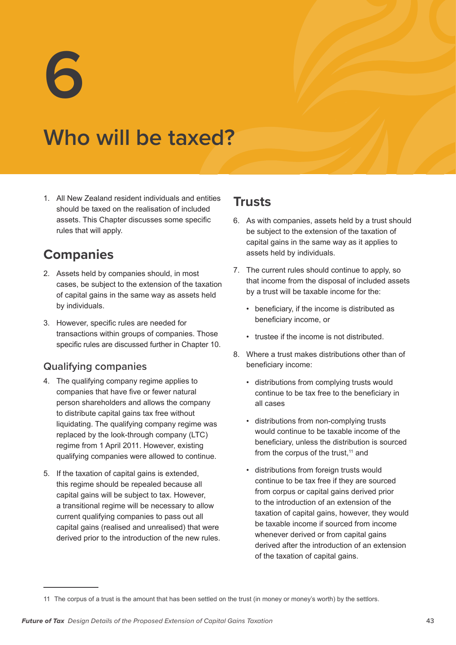**6**

## **Who will be taxed?**

1. All New Zealand resident individuals and entities should be taxed on the realisation of included assets. This Chapter discusses some specific rules that will apply.

## **Companies**

- 2. Assets held by companies should, in most cases, be subject to the extension of the taxation of capital gains in the same way as assets held by individuals.
- 3. However, specific rules are needed for transactions within groups of companies. Those specific rules are discussed further in Chapter 10.

#### **Qualifying companies**

- 4. The qualifying company regime applies to companies that have five or fewer natural person shareholders and allows the company to distribute capital gains tax free without liquidating. The qualifying company regime was replaced by the look-through company (LTC) regime from 1 April 2011. However, existing qualifying companies were allowed to continue.
- 5. If the taxation of capital gains is extended, this regime should be repealed because all capital gains will be subject to tax. However, a transitional regime will be necessary to allow current qualifying companies to pass out all capital gains (realised and unrealised) that were derived prior to the introduction of the new rules.

## **Trusts**

- 6. As with companies, assets held by a trust should be subject to the extension of the taxation of capital gains in the same way as it applies to assets held by individuals.
- 7. The current rules should continue to apply, so that income from the disposal of included assets by a trust will be taxable income for the:
	- beneficiary, if the income is distributed as beneficiary income, or
	- trustee if the income is not distributed.
- 8. Where a trust makes distributions other than of beneficiary income:
	- distributions from complying trusts would continue to be tax free to the beneficiary in all cases
	- distributions from non-complying trusts would continue to be taxable income of the beneficiary, unless the distribution is sourced from the corpus of the trust, $11$  and
	- distributions from foreign trusts would continue to be tax free if they are sourced from corpus or capital gains derived prior to the introduction of an extension of the taxation of capital gains, however, they would be taxable income if sourced from income whenever derived or from capital gains derived after the introduction of an extension of the taxation of capital gains.

<sup>11</sup> The corpus of a trust is the amount that has been settled on the trust (in money or money's worth) by the settlors.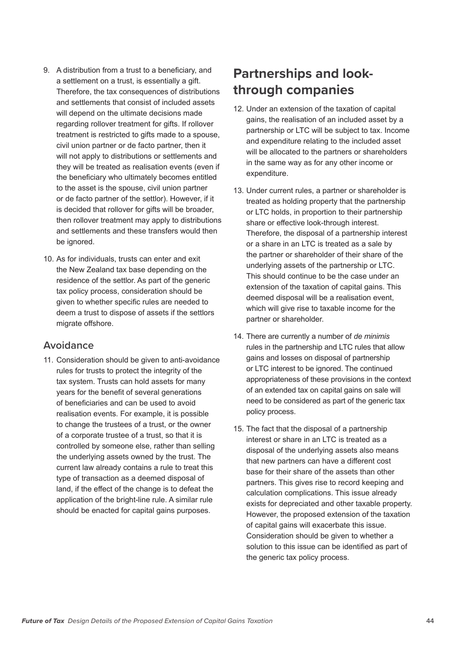- 9. A distribution from a trust to a beneficiary, and a settlement on a trust, is essentially a gift. Therefore, the tax consequences of distributions and settlements that consist of included assets will depend on the ultimate decisions made regarding rollover treatment for gifts. If rollover treatment is restricted to gifts made to a spouse, civil union partner or de facto partner, then it will not apply to distributions or settlements and they will be treated as realisation events (even if the beneficiary who ultimately becomes entitled to the asset is the spouse, civil union partner or de facto partner of the settlor). However, if it is decided that rollover for gifts will be broader, then rollover treatment may apply to distributions and settlements and these transfers would then be ignored.
- 10. As for individuals, trusts can enter and exit the New Zealand tax base depending on the residence of the settlor. As part of the generic tax policy process, consideration should be given to whether specific rules are needed to deem a trust to dispose of assets if the settlors migrate offshore.

#### **Avoidance**

11. Consideration should be given to anti-avoidance rules for trusts to protect the integrity of the tax system. Trusts can hold assets for many years for the benefit of several generations of beneficiaries and can be used to avoid realisation events. For example, it is possible to change the trustees of a trust, or the owner of a corporate trustee of a trust, so that it is controlled by someone else, rather than selling the underlying assets owned by the trust. The current law already contains a rule to treat this type of transaction as a deemed disposal of land, if the effect of the change is to defeat the application of the bright-line rule. A similar rule should be enacted for capital gains purposes.

## **Partnerships and lookthrough companies**

- 12. Under an extension of the taxation of capital gains, the realisation of an included asset by a partnership or LTC will be subject to tax. Income and expenditure relating to the included asset will be allocated to the partners or shareholders in the same way as for any other income or expenditure.
- 13. Under current rules, a partner or shareholder is treated as holding property that the partnership or LTC holds, in proportion to their partnership share or effective look-through interest. Therefore, the disposal of a partnership interest or a share in an LTC is treated as a sale by the partner or shareholder of their share of the underlying assets of the partnership or LTC. This should continue to be the case under an extension of the taxation of capital gains. This deemed disposal will be a realisation event, which will give rise to taxable income for the partner or shareholder.
- 14. There are currently a number of *de minimis* rules in the partnership and LTC rules that allow gains and losses on disposal of partnership or LTC interest to be ignored. The continued appropriateness of these provisions in the context of an extended tax on capital gains on sale will need to be considered as part of the generic tax policy process.
- 15. The fact that the disposal of a partnership interest or share in an LTC is treated as a disposal of the underlying assets also means that new partners can have a different cost base for their share of the assets than other partners. This gives rise to record keeping and calculation complications. This issue already exists for depreciated and other taxable property. However, the proposed extension of the taxation of capital gains will exacerbate this issue. Consideration should be given to whether a solution to this issue can be identified as part of the generic tax policy process.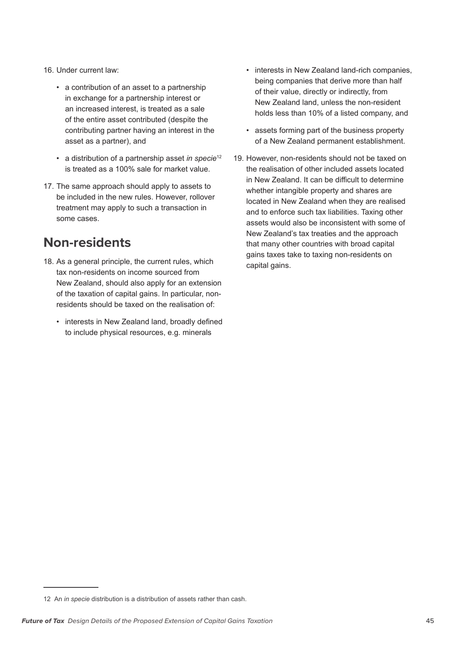- 16. Under current law:
	- a contribution of an asset to a partnership in exchange for a partnership interest or an increased interest, is treated as a sale of the entire asset contributed (despite the contributing partner having an interest in the asset as a partner), and
	- a distribution of a partnership asset *in specie*<sup>12</sup> is treated as a 100% sale for market value.
- 17. The same approach should apply to assets to be included in the new rules. However, rollover treatment may apply to such a transaction in some cases.

## **Non-residents**

- 18. As a general principle, the current rules, which tax non-residents on income sourced from New Zealand, should also apply for an extension of the taxation of capital gains. In particular, nonresidents should be taxed on the realisation of:
	- interests in New Zealand land, broadly defined to include physical resources, e.g. minerals
- interests in New Zealand land-rich companies, being companies that derive more than half of their value, directly or indirectly, from New Zealand land, unless the non-resident holds less than 10% of a listed company, and
- assets forming part of the business property of a New Zealand permanent establishment.
- 19. However, non-residents should not be taxed on the realisation of other included assets located in New Zealand. It can be difficult to determine whether intangible property and shares are located in New Zealand when they are realised and to enforce such tax liabilities. Taxing other assets would also be inconsistent with some of New Zealand's tax treaties and the approach that many other countries with broad capital gains taxes take to taxing non-residents on capital gains.

<sup>12</sup> An *in specie* distribution is a distribution of assets rather than cash.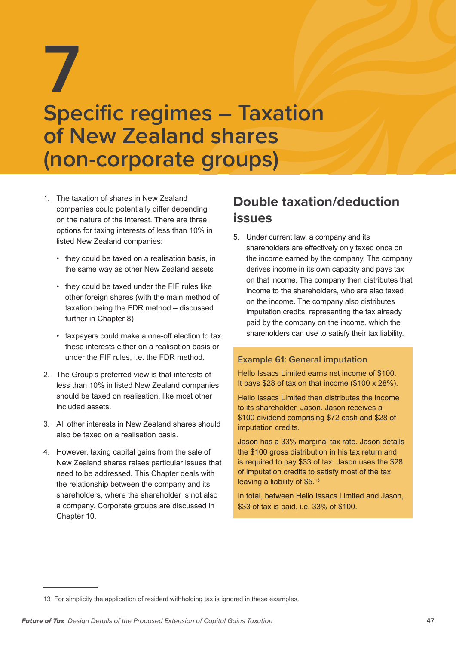# **7 Specific regimes – Taxation of New Zealand shares (non-corporate groups)**

- 1. The taxation of shares in New Zealand companies could potentially differ depending on the nature of the interest. There are three options for taxing interests of less than 10% in listed New Zealand companies:
	- they could be taxed on a realisation basis, in the same way as other New Zealand assets
	- they could be taxed under the FIF rules like other foreign shares (with the main method of taxation being the FDR method – discussed further in Chapter 8)
	- taxpayers could make a one-off election to tax these interests either on a realisation basis or under the FIF rules, i.e. the FDR method.
- 2. The Group's preferred view is that interests of less than 10% in listed New Zealand companies should be taxed on realisation, like most other included assets.
- 3. All other interests in New Zealand shares should also be taxed on a realisation basis.
- 4. However, taxing capital gains from the sale of New Zealand shares raises particular issues that need to be addressed. This Chapter deals with the relationship between the company and its shareholders, where the shareholder is not also a company. Corporate groups are discussed in Chapter 10.

## **Double taxation/deduction issues**

5. Under current law, a company and its shareholders are effectively only taxed once on the income earned by the company. The company derives income in its own capacity and pays tax on that income. The company then distributes that income to the shareholders, who are also taxed on the income. The company also distributes imputation credits, representing the tax already paid by the company on the income, which the shareholders can use to satisfy their tax liability.

#### **Example 61: General imputation**

Hello Issacs Limited earns net income of \$100. It pays \$28 of tax on that income (\$100 x 28%).

Hello Issacs Limited then distributes the income to its shareholder, Jason. Jason receives a \$100 dividend comprising \$72 cash and \$28 of imputation credits.

Jason has a 33% marginal tax rate. Jason details the \$100 gross distribution in his tax return and is required to pay \$33 of tax. Jason uses the \$28 of imputation credits to satisfy most of the tax leaving a liability of \$5.13

In total, between Hello Issacs Limited and Jason, \$33 of tax is paid, i.e. 33% of \$100.

<sup>13</sup> For simplicity the application of resident withholding tax is ignored in these examples.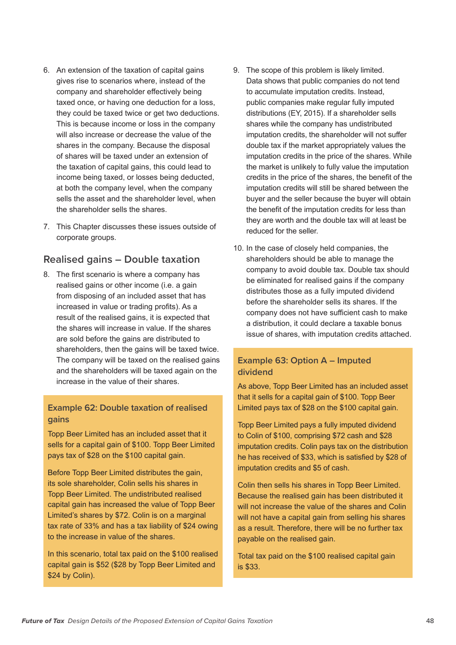- 6. An extension of the taxation of capital gains gives rise to scenarios where, instead of the company and shareholder effectively being taxed once, or having one deduction for a loss, they could be taxed twice or get two deductions. This is because income or loss in the company will also increase or decrease the value of the shares in the company. Because the disposal of shares will be taxed under an extension of the taxation of capital gains, this could lead to income being taxed, or losses being deducted, at both the company level, when the company sells the asset and the shareholder level, when the shareholder sells the shares.
- 7. This Chapter discusses these issues outside of corporate groups.

#### **Realised gains – Double taxation**

8. The first scenario is where a company has realised gains or other income (i.e. a gain from disposing of an included asset that has increased in value or trading profits). As a result of the realised gains, it is expected that the shares will increase in value. If the shares are sold before the gains are distributed to shareholders, then the gains will be taxed twice. The company will be taxed on the realised gains and the shareholders will be taxed again on the increase in the value of their shares.

#### **Example 62: Double taxation of realised gains**

Topp Beer Limited has an included asset that it sells for a capital gain of \$100. Topp Beer Limited pays tax of \$28 on the \$100 capital gain.

Before Topp Beer Limited distributes the gain, its sole shareholder, Colin sells his shares in Topp Beer Limited. The undistributed realised capital gain has increased the value of Topp Beer Limited's shares by \$72. Colin is on a marginal tax rate of 33% and has a tax liability of \$24 owing to the increase in value of the shares.

In this scenario, total tax paid on the \$100 realised capital gain is \$52 (\$28 by Topp Beer Limited and \$24 by Colin).

- 9. The scope of this problem is likely limited. Data shows that public companies do not tend to accumulate imputation credits. Instead, public companies make regular fully imputed distributions (EY, 2015). If a shareholder sells shares while the company has undistributed imputation credits, the shareholder will not suffer double tax if the market appropriately values the imputation credits in the price of the shares. While the market is unlikely to fully value the imputation credits in the price of the shares, the benefit of the imputation credits will still be shared between the buyer and the seller because the buyer will obtain the benefit of the imputation credits for less than they are worth and the double tax will at least be reduced for the seller.
- 10. In the case of closely held companies, the shareholders should be able to manage the company to avoid double tax. Double tax should be eliminated for realised gains if the company distributes those as a fully imputed dividend before the shareholder sells its shares. If the company does not have sufficient cash to make a distribution, it could declare a taxable bonus issue of shares, with imputation credits attached.

#### **Example 63: Option A – Imputed dividend**

As above, Topp Beer Limited has an included asset that it sells for a capital gain of \$100. Topp Beer Limited pays tax of \$28 on the \$100 capital gain.

Topp Beer Limited pays a fully imputed dividend to Colin of \$100, comprising \$72 cash and \$28 imputation credits. Colin pays tax on the distribution he has received of \$33, which is satisfied by \$28 of imputation credits and \$5 of cash.

Colin then sells his shares in Topp Beer Limited. Because the realised gain has been distributed it will not increase the value of the shares and Colin will not have a capital gain from selling his shares as a result. Therefore, there will be no further tax payable on the realised gain.

Total tax paid on the \$100 realised capital gain is \$33.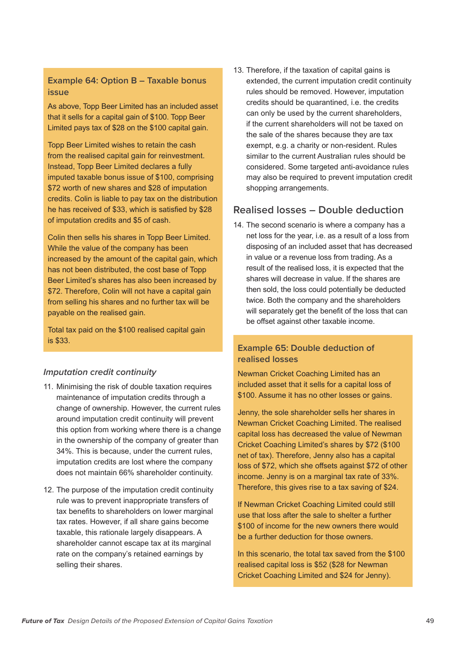#### **Example 64: Option B – Taxable bonus issue**

As above, Topp Beer Limited has an included asset that it sells for a capital gain of \$100. Topp Beer Limited pays tax of \$28 on the \$100 capital gain.

Topp Beer Limited wishes to retain the cash from the realised capital gain for reinvestment. Instead, Topp Beer Limited declares a fully imputed taxable bonus issue of \$100, comprising \$72 worth of new shares and \$28 of imputation credits. Colin is liable to pay tax on the distribution he has received of \$33, which is satisfied by \$28 of imputation credits and \$5 of cash.

Colin then sells his shares in Topp Beer Limited. While the value of the company has been increased by the amount of the capital gain, which has not been distributed, the cost base of Topp Beer Limited's shares has also been increased by \$72. Therefore, Colin will not have a capital gain from selling his shares and no further tax will be payable on the realised gain.

Total tax paid on the \$100 realised capital gain is \$33.

#### *Imputation credit continuity*

- 11. Minimising the risk of double taxation requires maintenance of imputation credits through a change of ownership. However, the current rules around imputation credit continuity will prevent this option from working where there is a change in the ownership of the company of greater than 34%. This is because, under the current rules, imputation credits are lost where the company does not maintain 66% shareholder continuity.
- 12. The purpose of the imputation credit continuity rule was to prevent inappropriate transfers of tax benefits to shareholders on lower marginal tax rates. However, if all share gains become taxable, this rationale largely disappears. A shareholder cannot escape tax at its marginal rate on the company's retained earnings by selling their shares.

13. Therefore, if the taxation of capital gains is extended, the current imputation credit continuity rules should be removed. However, imputation credits should be quarantined, i.e. the credits can only be used by the current shareholders, if the current shareholders will not be taxed on the sale of the shares because they are tax exempt, e.g. a charity or non-resident. Rules similar to the current Australian rules should be considered. Some targeted anti-avoidance rules may also be required to prevent imputation credit shopping arrangements.

#### **Realised losses – Double deduction**

14. The second scenario is where a company has a net loss for the year, i.e. as a result of a loss from disposing of an included asset that has decreased in value or a revenue loss from trading. As a result of the realised loss, it is expected that the shares will decrease in value. If the shares are then sold, the loss could potentially be deducted twice. Both the company and the shareholders will separately get the benefit of the loss that can be offset against other taxable income.

#### **Example 65: Double deduction of realised losses**

Newman Cricket Coaching Limited has an included asset that it sells for a capital loss of \$100. Assume it has no other losses or gains.

Jenny, the sole shareholder sells her shares in Newman Cricket Coaching Limited. The realised capital loss has decreased the value of Newman Cricket Coaching Limited's shares by \$72 (\$100 net of tax). Therefore, Jenny also has a capital loss of \$72, which she offsets against \$72 of other income. Jenny is on a marginal tax rate of 33%. Therefore, this gives rise to a tax saving of \$24.

If Newman Cricket Coaching Limited could still use that loss after the sale to shelter a further \$100 of income for the new owners there would be a further deduction for those owners.

In this scenario, the total tax saved from the \$100 realised capital loss is \$52 (\$28 for Newman Cricket Coaching Limited and \$24 for Jenny).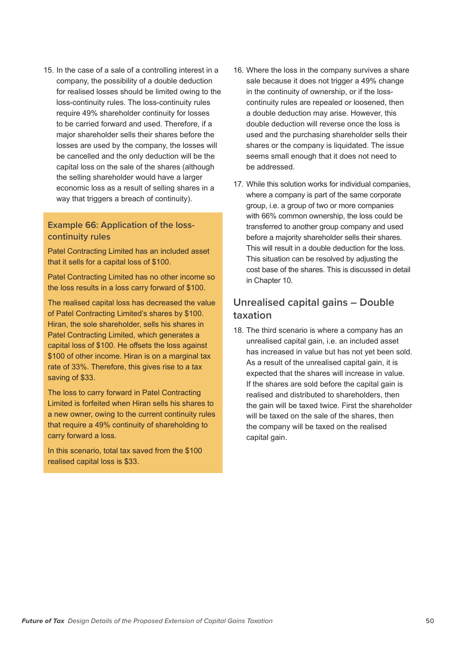15. In the case of a sale of a controlling interest in a company, the possibility of a double deduction for realised losses should be limited owing to the loss-continuity rules. The loss-continuity rules require 49% shareholder continuity for losses to be carried forward and used. Therefore, if a major shareholder sells their shares before the losses are used by the company, the losses will be cancelled and the only deduction will be the capital loss on the sale of the shares (although the selling shareholder would have a larger economic loss as a result of selling shares in a way that triggers a breach of continuity).

#### **Example 66: Application of the losscontinuity rules**

Patel Contracting Limited has an included asset that it sells for a capital loss of \$100.

Patel Contracting Limited has no other income so the loss results in a loss carry forward of \$100.

The realised capital loss has decreased the value of Patel Contracting Limited's shares by \$100. Hiran, the sole shareholder, sells his shares in Patel Contracting Limited, which generates a capital loss of \$100. He offsets the loss against \$100 of other income. Hiran is on a marginal tax rate of 33%. Therefore, this gives rise to a tax saving of \$33.

The loss to carry forward in Patel Contracting Limited is forfeited when Hiran sells his shares to a new owner, owing to the current continuity rules that require a 49% continuity of shareholding to carry forward a loss.

In this scenario, total tax saved from the \$100 realised capital loss is \$33.

- 16. Where the loss in the company survives a share sale because it does not trigger a 49% change in the continuity of ownership, or if the losscontinuity rules are repealed or loosened, then a double deduction may arise. However, this double deduction will reverse once the loss is used and the purchasing shareholder sells their shares or the company is liquidated. The issue seems small enough that it does not need to be addressed.
- 17. While this solution works for individual companies, where a company is part of the same corporate group, i.e. a group of two or more companies with 66% common ownership, the loss could be transferred to another group company and used before a majority shareholder sells their shares. This will result in a double deduction for the loss. This situation can be resolved by adjusting the cost base of the shares. This is discussed in detail in Chapter 10.

#### **Unrealised capital gains – Double taxation**

18. The third scenario is where a company has an unrealised capital gain, i.e. an included asset has increased in value but has not yet been sold. As a result of the unrealised capital gain, it is expected that the shares will increase in value. If the shares are sold before the capital gain is realised and distributed to shareholders, then the gain will be taxed twice. First the shareholder will be taxed on the sale of the shares, then the company will be taxed on the realised capital gain.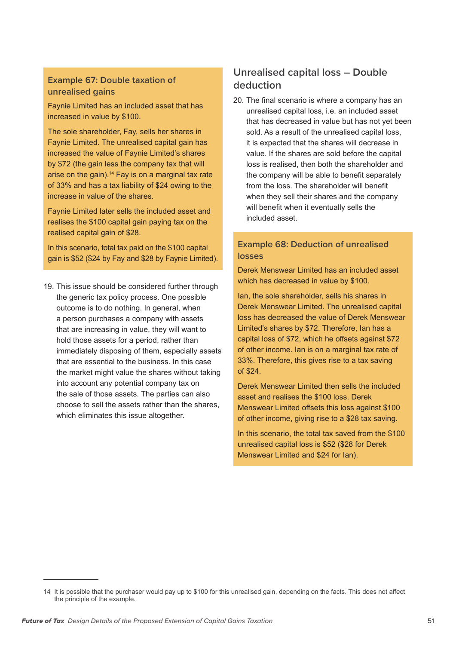#### **Example 67: Double taxation of unrealised gains**

Faynie Limited has an included asset that has increased in value by \$100.

The sole shareholder, Fay, sells her shares in Faynie Limited. The unrealised capital gain has increased the value of Faynie Limited's shares by \$72 (the gain less the company tax that will arise on the gain).<sup>14</sup> Fay is on a marginal tax rate of 33% and has a tax liability of \$24 owing to the increase in value of the shares.

Faynie Limited later sells the included asset and realises the \$100 capital gain paying tax on the realised capital gain of \$28.

In this scenario, total tax paid on the \$100 capital gain is \$52 (\$24 by Fay and \$28 by Faynie Limited).

19. This issue should be considered further through the generic tax policy process. One possible outcome is to do nothing. In general, when a person purchases a company with assets that are increasing in value, they will want to hold those assets for a period, rather than immediately disposing of them, especially assets that are essential to the business. In this case the market might value the shares without taking into account any potential company tax on the sale of those assets. The parties can also choose to sell the assets rather than the shares, which eliminates this issue altogether.

### **Unrealised capital loss – Double deduction**

20. The final scenario is where a company has an unrealised capital loss, i.e. an included asset that has decreased in value but has not yet been sold. As a result of the unrealised capital loss, it is expected that the shares will decrease in value. If the shares are sold before the capital loss is realised, then both the shareholder and the company will be able to benefit separately from the loss. The shareholder will benefit when they sell their shares and the company will benefit when it eventually sells the included asset.

#### **Example 68: Deduction of unrealised losses**

Derek Menswear Limited has an included asset which has decreased in value by \$100.

Ian, the sole shareholder, sells his shares in Derek Menswear Limited. The unrealised capital loss has decreased the value of Derek Menswear Limited's shares by \$72. Therefore, Ian has a capital loss of \$72, which he offsets against \$72 of other income. Ian is on a marginal tax rate of 33%. Therefore, this gives rise to a tax saving of \$24.

Derek Menswear Limited then sells the included asset and realises the \$100 loss. Derek Menswear Limited offsets this loss against \$100 of other income, giving rise to a \$28 tax saving.

In this scenario, the total tax saved from the \$100 unrealised capital loss is \$52 (\$28 for Derek Menswear Limited and \$24 for Ian).

<sup>14</sup> It is possible that the purchaser would pay up to \$100 for this unrealised gain, depending on the facts. This does not affect the principle of the example.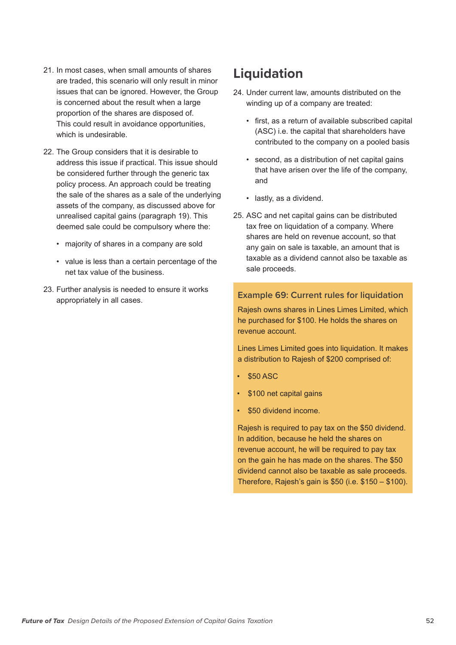- 21. In most cases, when small amounts of shares are traded, this scenario will only result in minor issues that can be ignored. However, the Group is concerned about the result when a large proportion of the shares are disposed of. This could result in avoidance opportunities, which is undesirable.
- 22. The Group considers that it is desirable to address this issue if practical. This issue should be considered further through the generic tax policy process. An approach could be treating the sale of the shares as a sale of the underlying assets of the company, as discussed above for unrealised capital gains (paragraph 19). This deemed sale could be compulsory where the:
	- majority of shares in a company are sold
	- value is less than a certain percentage of the net tax value of the business.
- 23. Further analysis is needed to ensure it works appropriately in all cases.

## **Liquidation**

- 24. Under current law, amounts distributed on the winding up of a company are treated:
	- first, as a return of available subscribed capital (ASC) i.e. the capital that shareholders have contributed to the company on a pooled basis
	- second, as a distribution of net capital gains that have arisen over the life of the company, and
	- lastly, as a dividend.
- 25. ASC and net capital gains can be distributed tax free on liquidation of a company. Where shares are held on revenue account, so that any gain on sale is taxable, an amount that is taxable as a dividend cannot also be taxable as sale proceeds.

#### **Example 69: Current rules for liquidation**

Rajesh owns shares in Lines Limes Limited, which he purchased for \$100. He holds the shares on revenue account.

Lines Limes Limited goes into liquidation. It makes a distribution to Rajesh of \$200 comprised of:

- \$50 ASC
- \$100 net capital gains
- \$50 dividend income.

Rajesh is required to pay tax on the \$50 dividend. In addition, because he held the shares on revenue account, he will be required to pay tax on the gain he has made on the shares. The \$50 dividend cannot also be taxable as sale proceeds. Therefore, Rajesh's gain is \$50 (i.e. \$150 – \$100).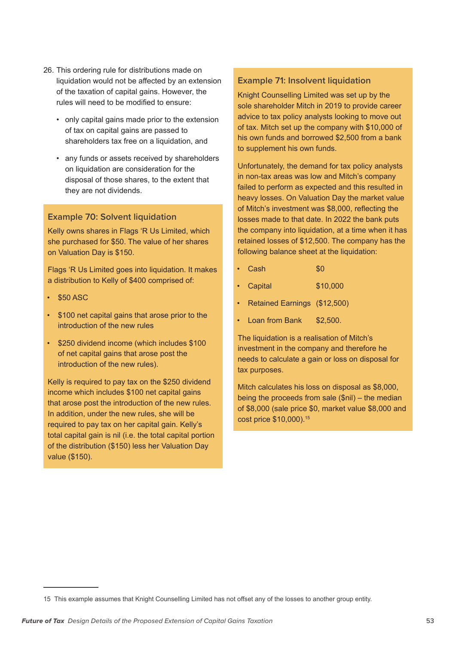- 26. This ordering rule for distributions made on liquidation would not be affected by an extension of the taxation of capital gains. However, the rules will need to be modified to ensure:
	- only capital gains made prior to the extension of tax on capital gains are passed to shareholders tax free on a liquidation, and
	- any funds or assets received by shareholders on liquidation are consideration for the disposal of those shares, to the extent that they are not dividends.

#### **Example 70: Solvent liquidation**

Kelly owns shares in Flags 'R Us Limited, which she purchased for \$50. The value of her shares on Valuation Day is \$150.

Flags 'R Us Limited goes into liquidation. It makes a distribution to Kelly of \$400 comprised of:

- \$50 ASC
- \$100 net capital gains that arose prior to the introduction of the new rules
- \$250 dividend income (which includes \$100 of net capital gains that arose post the introduction of the new rules).

Kelly is required to pay tax on the \$250 dividend income which includes \$100 net capital gains that arose post the introduction of the new rules. In addition, under the new rules, she will be required to pay tax on her capital gain. Kelly's total capital gain is nil (i.e. the total capital portion of the distribution (\$150) less her Valuation Day value (\$150).

#### **Example 71: Insolvent liquidation**

Knight Counselling Limited was set up by the sole shareholder Mitch in 2019 to provide career advice to tax policy analysts looking to move out of tax. Mitch set up the company with \$10,000 of his own funds and borrowed \$2,500 from a bank to supplement his own funds.

Unfortunately, the demand for tax policy analysts in non-tax areas was low and Mitch's company failed to perform as expected and this resulted in heavy losses. On Valuation Day the market value of Mitch's investment was \$8,000, reflecting the losses made to that date. In 2022 the bank puts the company into liquidation, at a time when it has retained losses of \$12,500. The company has the following balance sheet at the liquidation:

- $\cdot$  Cash  $\cdot$  \$0
- Capital \$10,000
- Retained Earnings (\$12,500)
- Loan from Bank \$2,500.

The liquidation is a realisation of Mitch's investment in the company and therefore he needs to calculate a gain or loss on disposal for tax purposes.

Mitch calculates his loss on disposal as \$8,000, being the proceeds from sale (\$nil) – the median of \$8,000 (sale price \$0, market value \$8,000 and cost price \$10,000).15

<sup>15</sup> This example assumes that Knight Counselling Limited has not offset any of the losses to another group entity.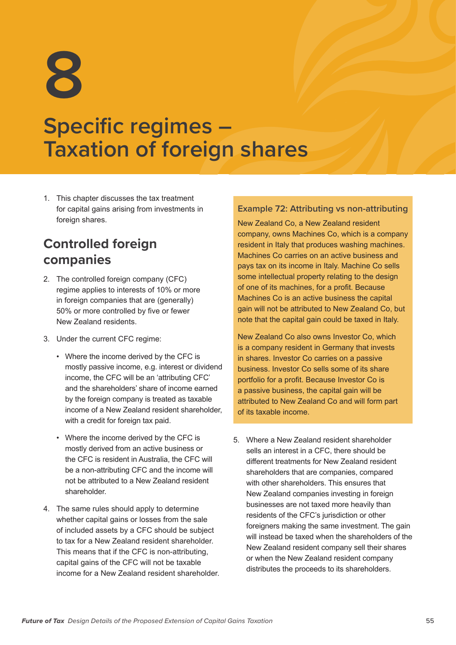# **Specific regimes – Taxation of foreign shares**

1. This chapter discusses the tax treatment for capital gains arising from investments in foreign shares.

## **Controlled foreign companies**

- 2. The controlled foreign company (CFC) regime applies to interests of 10% or more in foreign companies that are (generally) 50% or more controlled by five or fewer New Zealand residents.
- 3. Under the current CFC regime:
	- Where the income derived by the CFC is mostly passive income, e.g. interest or dividend income, the CFC will be an 'attributing CFC' and the shareholders' share of income earned by the foreign company is treated as taxable income of a New Zealand resident shareholder, with a credit for foreign tax paid.
	- Where the income derived by the CFC is mostly derived from an active business or the CFC is resident in Australia, the CFC will be a non-attributing CFC and the income will not be attributed to a New Zealand resident shareholder.
- 4. The same rules should apply to determine whether capital gains or losses from the sale of included assets by a CFC should be subject to tax for a New Zealand resident shareholder. This means that if the CFC is non-attributing, capital gains of the CFC will not be taxable income for a New Zealand resident shareholder.

#### **Example 72: Attributing vs non-attributing**

New Zealand Co, a New Zealand resident company, owns Machines Co, which is a company resident in Italy that produces washing machines. Machines Co carries on an active business and pays tax on its income in Italy. Machine Co sells some intellectual property relating to the design of one of its machines, for a profit. Because Machines Co is an active business the capital gain will not be attributed to New Zealand Co, but note that the capital gain could be taxed in Italy.

New Zealand Co also owns Investor Co, which is a company resident in Germany that invests in shares. Investor Co carries on a passive business. Investor Co sells some of its share portfolio for a profit. Because Investor Co is a passive business, the capital gain will be attributed to New Zealand Co and will form part of its taxable income.

5. Where a New Zealand resident shareholder sells an interest in a CFC, there should be different treatments for New Zealand resident shareholders that are companies, compared with other shareholders. This ensures that New Zealand companies investing in foreign businesses are not taxed more heavily than residents of the CFC's jurisdiction or other foreigners making the same investment. The gain will instead be taxed when the shareholders of the New Zealand resident company sell their shares or when the New Zealand resident company distributes the proceeds to its shareholders.

**<sup>8</sup>**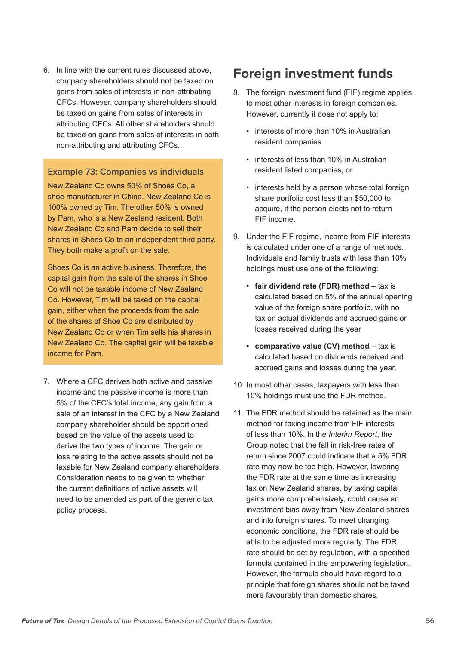6. In line with the current rules discussed above, company shareholders should not be taxed on gains from sales of interests in non-attributing CFCs. However, company shareholders should be taxed on gains from sales of interests in attributing CFCs. All other shareholders should be taxed on gains from sales of interests in both non-attributing and attributing CFCs.

#### **Example 73: Companies vs individuals**

New Zealand Co owns 50% of Shoes Co, a shoe manufacturer in China. New Zealand Co is 100% owned by Tim. The other 50% is owned by Pam, who is a New Zealand resident. Both New Zealand Co and Pam decide to sell their shares in Shoes Co to an independent third party. They both make a profit on the sale.

Shoes Co is an active business. Therefore, the capital gain from the sale of the shares in Shoe Co will not be taxable income of New Zealand Co. However, Tim will be taxed on the capital gain, either when the proceeds from the sale of the shares of Shoe Co are distributed by New Zealand Co or when Tim sells his shares in New Zealand Co. The capital gain will be taxable income for Pam.

7. Where a CFC derives both active and passive income and the passive income is more than 5% of the CFC's total income, any gain from a sale of an interest in the CFC by a New Zealand company shareholder should be apportioned based on the value of the assets used to derive the two types of income. The gain or loss relating to the active assets should not be taxable for New Zealand company shareholders. Consideration needs to be given to whether the current definitions of active assets will need to be amended as part of the generic tax policy process.

## **Foreign investment funds**

- 8. The foreign investment fund (FIF) regime applies to most other interests in foreign companies. However, currently it does not apply to:
	- interests of more than 10% in Australian resident companies
	- interests of less than 10% in Australian resident listed companies, or
	- interests held by a person whose total foreign share portfolio cost less than \$50,000 to acquire, if the person elects not to return FIF income.
- 9. Under the FIF regime, income from FIF interests is calculated under one of a range of methods. Individuals and family trusts with less than 10% holdings must use one of the following:
	- **• fair dividend rate (FDR) method** tax is calculated based on 5% of the annual opening value of the foreign share portfolio, with no tax on actual dividends and accrued gains or losses received during the year
	- **• comparative value (CV) method** tax is calculated based on dividends received and accrued gains and losses during the year.
- 10. In most other cases, taxpayers with less than 10% holdings must use the FDR method.
- 11. The FDR method should be retained as the main method for taxing income from FIF interests of less than 10%. In the *Interim Report*, the Group noted that the fall in risk-free rates of return since 2007 could indicate that a 5% FDR rate may now be too high. However, lowering the FDR rate at the same time as increasing tax on New Zealand shares, by taxing capital gains more comprehensively, could cause an investment bias away from New Zealand shares and into foreign shares. To meet changing economic conditions, the FDR rate should be able to be adjusted more regularly. The FDR rate should be set by regulation, with a specified formula contained in the empowering legislation. However, the formula should have regard to a principle that foreign shares should not be taxed more favourably than domestic shares.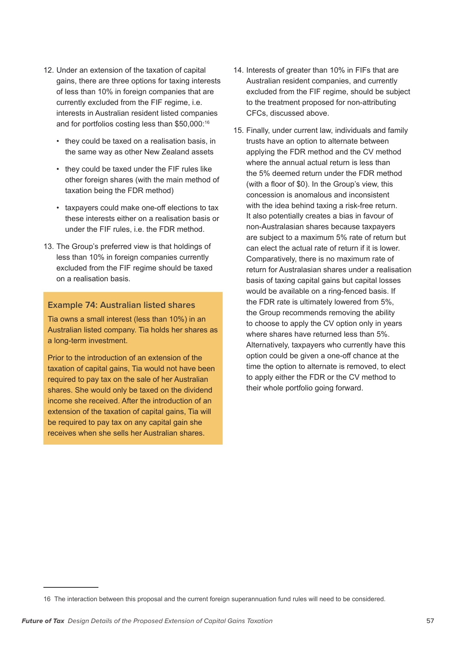- 12. Under an extension of the taxation of capital gains, there are three options for taxing interests of less than 10% in foreign companies that are currently excluded from the FIF regime, i.e. interests in Australian resident listed companies and for portfolios costing less than \$50,000:<sup>16</sup>
	- they could be taxed on a realisation basis, in the same way as other New Zealand assets
	- they could be taxed under the FIF rules like other foreign shares (with the main method of taxation being the FDR method)
	- taxpayers could make one-off elections to tax these interests either on a realisation basis or under the FIF rules, i.e. the FDR method.
- 13. The Group's preferred view is that holdings of less than 10% in foreign companies currently excluded from the FIF regime should be taxed on a realisation basis.

#### **Example 74: Australian listed shares**

Tia owns a small interest (less than 10%) in an Australian listed company. Tia holds her shares as a long-term investment.

Prior to the introduction of an extension of the taxation of capital gains, Tia would not have been required to pay tax on the sale of her Australian shares. She would only be taxed on the dividend income she received. After the introduction of an extension of the taxation of capital gains, Tia will be required to pay tax on any capital gain she receives when she sells her Australian shares.

- 14. Interests of greater than 10% in FIFs that are Australian resident companies, and currently excluded from the FIF regime, should be subject to the treatment proposed for non-attributing CFCs, discussed above.
- 15. Finally, under current law, individuals and family trusts have an option to alternate between applying the FDR method and the CV method where the annual actual return is less than the 5% deemed return under the FDR method (with a floor of \$0). In the Group's view, this concession is anomalous and inconsistent with the idea behind taxing a risk-free return. It also potentially creates a bias in favour of non-Australasian shares because taxpayers are subject to a maximum 5% rate of return but can elect the actual rate of return if it is lower. Comparatively, there is no maximum rate of return for Australasian shares under a realisation basis of taxing capital gains but capital losses would be available on a ring-fenced basis. If the FDR rate is ultimately lowered from 5%, the Group recommends removing the ability to choose to apply the CV option only in years where shares have returned less than 5%. Alternatively, taxpayers who currently have this option could be given a one-off chance at the time the option to alternate is removed, to elect to apply either the FDR or the CV method to their whole portfolio going forward.

<sup>16</sup> The interaction between this proposal and the current foreign superannuation fund rules will need to be considered.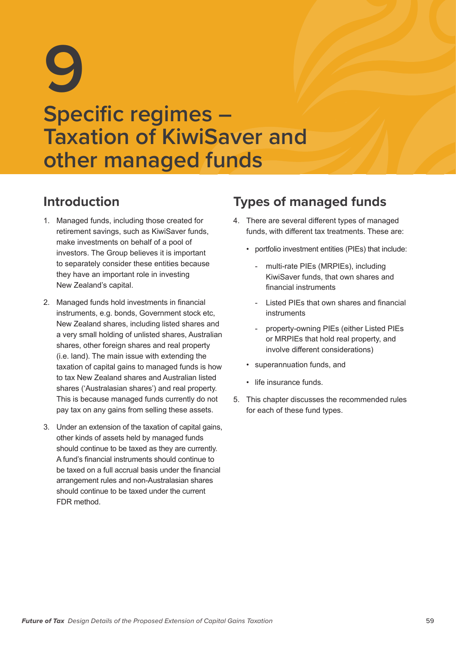# **9 Specific regimes – Taxation of KiwiSaver and other managed funds**

## **Introduction**

- 1. Managed funds, including those created for retirement savings, such as KiwiSaver funds, make investments on behalf of a pool of investors. The Group believes it is important to separately consider these entities because they have an important role in investing New Zealand's capital.
- 2. Managed funds hold investments in financial instruments, e.g. bonds, Government stock etc, New Zealand shares, including listed shares and a very small holding of unlisted shares, Australian shares, other foreign shares and real property (i.e. land). The main issue with extending the taxation of capital gains to managed funds is how to tax New Zealand shares and Australian listed shares ('Australasian shares') and real property. This is because managed funds currently do not pay tax on any gains from selling these assets.
- 3. Under an extension of the taxation of capital gains, other kinds of assets held by managed funds should continue to be taxed as they are currently. A fund's financial instruments should continue to be taxed on a full accrual basis under the financial arrangement rules and non-Australasian shares should continue to be taxed under the current FDR method.

## **Types of managed funds**

- 4. There are several different types of managed funds, with different tax treatments. These are:
	- portfolio investment entities (PIEs) that include:
		- multi-rate PIEs (MRPIEs), including KiwiSaver funds, that own shares and financial instruments
		- Listed PIEs that own shares and financial instruments
		- property-owning PIEs (either Listed PIEs or MRPIEs that hold real property, and involve different considerations)
	- superannuation funds, and
	- life insurance funds.
- 5. This chapter discusses the recommended rules for each of these fund types.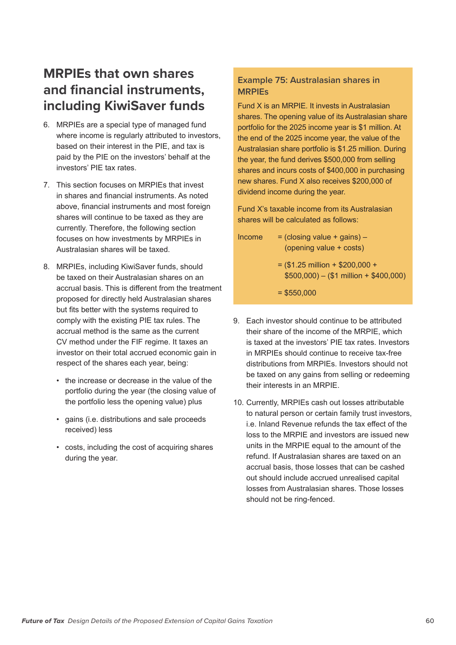## **MRPIEs that own shares and financial instruments, including KiwiSaver funds**

- 6. MRPIEs are a special type of managed fund where income is regularly attributed to investors, based on their interest in the PIE, and tax is paid by the PIE on the investors' behalf at the investors' PIE tax rates.
- 7. This section focuses on MRPIEs that invest in shares and financial instruments. As noted above, financial instruments and most foreign shares will continue to be taxed as they are currently. Therefore, the following section focuses on how investments by MRPIEs in Australasian shares will be taxed.
- 8. MRPIEs, including KiwiSaver funds, should be taxed on their Australasian shares on an accrual basis. This is different from the treatment proposed for directly held Australasian shares but fits better with the systems required to comply with the existing PIE tax rules. The accrual method is the same as the current CV method under the FIF regime. It taxes an investor on their total accrued economic gain in respect of the shares each year, being:
	- the increase or decrease in the value of the portfolio during the year (the closing value of the portfolio less the opening value) plus
	- gains (i.e. distributions and sale proceeds received) less
	- costs, including the cost of acquiring shares during the year.

#### **Example 75: Australasian shares in MRPIEs**

Fund X is an MRPIE. It invests in Australasian shares. The opening value of its Australasian share portfolio for the 2025 income year is \$1 million. At the end of the 2025 income year, the value of the Australasian share portfolio is \$1.25 million. During the year, the fund derives \$500,000 from selling shares and incurs costs of \$400,000 in purchasing new shares. Fund X also receives \$200,000 of dividend income during the year.

Fund X's taxable income from its Australasian shares will be calculated as follows:

- $Income = (closing value + aains) -$ (opening value + costs)  $=$  (\$1.25 million + \$200,000 +  $$500,000$  – (\$1 million + \$400,000)  $= $550,000$
- 9. Each investor should continue to be attributed their share of the income of the MRPIE, which is taxed at the investors' PIE tax rates. Investors in MRPIEs should continue to receive tax-free distributions from MRPIEs. Investors should not be taxed on any gains from selling or redeeming their interests in an MRPIE.
- 10. Currently, MRPIEs cash out losses attributable to natural person or certain family trust investors, i.e. Inland Revenue refunds the tax effect of the loss to the MRPIE and investors are issued new units in the MRPIE equal to the amount of the refund. If Australasian shares are taxed on an accrual basis, those losses that can be cashed out should include accrued unrealised capital losses from Australasian shares. Those losses should not be ring-fenced.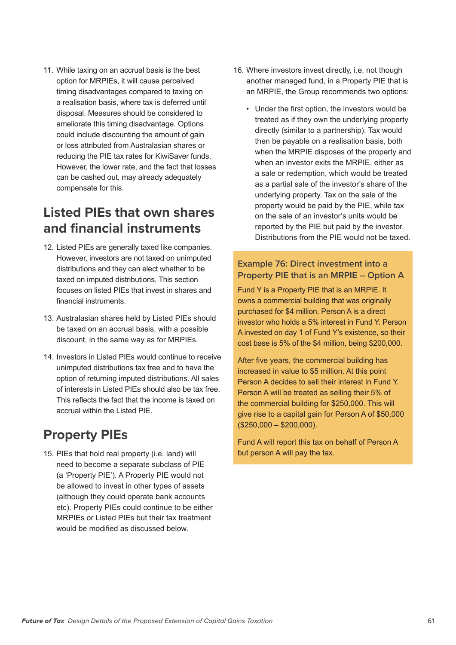11. While taxing on an accrual basis is the best option for MRPIEs, it will cause perceived timing disadvantages compared to taxing on a realisation basis, where tax is deferred until disposal. Measures should be considered to ameliorate this timing disadvantage. Options could include discounting the amount of gain or loss attributed from Australasian shares or reducing the PIE tax rates for KiwiSaver funds. However, the lower rate, and the fact that losses can be cashed out, may already adequately compensate for this.

## **Listed PIEs that own shares and financial instruments**

- 12. Listed PIEs are generally taxed like companies. However, investors are not taxed on unimputed distributions and they can elect whether to be taxed on imputed distributions. This section focuses on listed PIEs that invest in shares and financial instruments.
- 13. Australasian shares held by Listed PIEs should be taxed on an accrual basis, with a possible discount, in the same way as for MRPIEs.
- 14. Investors in Listed PIEs would continue to receive unimputed distributions tax free and to have the option of returning imputed distributions. All sales of interests in Listed PIEs should also be tax free. This reflects the fact that the income is taxed on accrual within the Listed PIE.

## **Property PIEs**

15. PIEs that hold real property (i.e. land) will need to become a separate subclass of PIE (a 'Property PIE'). A Property PIE would not be allowed to invest in other types of assets (although they could operate bank accounts etc). Property PIEs could continue to be either MRPIEs or Listed PIEs but their tax treatment would be modified as discussed below.

- 16. Where investors invest directly, i.e. not though another managed fund, in a Property PIE that is an MRPIE, the Group recommends two options:
	- Under the first option, the investors would be treated as if they own the underlying property directly (similar to a partnership). Tax would then be payable on a realisation basis, both when the MRPIE disposes of the property and when an investor exits the MRPIE, either as a sale or redemption, which would be treated as a partial sale of the investor's share of the underlying property. Tax on the sale of the property would be paid by the PIE, while tax on the sale of an investor's units would be reported by the PIE but paid by the investor. Distributions from the PIE would not be taxed.

#### **Example 76: Direct investment into a Property PIE that is an MRPIE – Option A**

Fund Y is a Property PIE that is an MRPIE. It owns a commercial building that was originally purchased for \$4 million. Person A is a direct investor who holds a 5% interest in Fund Y. Person A invested on day 1 of Fund Y's existence, so their cost base is 5% of the \$4 million, being \$200,000.

After five years, the commercial building has increased in value to \$5 million. At this point Person A decides to sell their interest in Fund Y. Person A will be treated as selling their 5% of the commercial building for \$250,000. This will give rise to a capital gain for Person A of \$50,000 (\$250,000 – \$200,000).

Fund A will report this tax on behalf of Person A but person A will pay the tax.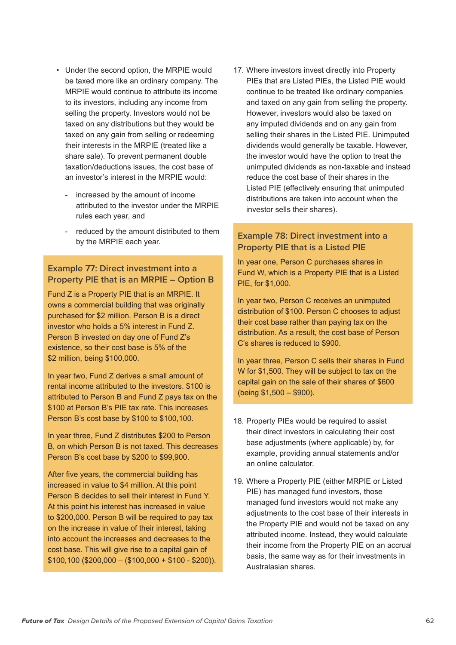- Under the second option, the MRPIE would be taxed more like an ordinary company. The MRPIE would continue to attribute its income to its investors, including any income from selling the property. Investors would not be taxed on any distributions but they would be taxed on any gain from selling or redeeming their interests in the MRPIE (treated like a share sale). To prevent permanent double taxation/deductions issues, the cost base of an investor's interest in the MRPIE would:
	- increased by the amount of income attributed to the investor under the MRPIE rules each year, and
	- reduced by the amount distributed to them by the MRPIE each year.

#### **Example 77: Direct investment into a Property PIE that is an MRPIE – Option B**

Fund Z is a Property PIE that is an MRPIE. It owns a commercial building that was originally purchased for \$2 million. Person B is a direct investor who holds a 5% interest in Fund Z. Person B invested on day one of Fund Z's existence, so their cost base is 5% of the \$2 million, being \$100,000.

In year two, Fund Z derives a small amount of rental income attributed to the investors. \$100 is attributed to Person B and Fund Z pays tax on the \$100 at Person B's PIE tax rate. This increases Person B's cost base by \$100 to \$100,100.

In year three, Fund Z distributes \$200 to Person B, on which Person B is not taxed. This decreases Person B's cost base by \$200 to \$99,900.

After five years, the commercial building has increased in value to \$4 million. At this point Person B decides to sell their interest in Fund Y. At this point his interest has increased in value to \$200,000. Person B will be required to pay tax on the increase in value of their interest, taking into account the increases and decreases to the cost base. This will give rise to a capital gain of  $$100,100$  (\$200,000 - (\$100,000 + \$100 - \$200)). 17. Where investors invest directly into Property PIEs that are Listed PIEs, the Listed PIE would continue to be treated like ordinary companies and taxed on any gain from selling the property. However, investors would also be taxed on any imputed dividends and on any gain from selling their shares in the Listed PIE. Unimputed dividends would generally be taxable. However, the investor would have the option to treat the unimputed dividends as non-taxable and instead reduce the cost base of their shares in the Listed PIE (effectively ensuring that unimputed distributions are taken into account when the investor sells their shares).

#### **Example 78: Direct investment into a Property PIE that is a Listed PIE**

In year one, Person C purchases shares in Fund W, which is a Property PIE that is a Listed PIE, for \$1,000.

In year two, Person C receives an unimputed distribution of \$100. Person C chooses to adjust their cost base rather than paying tax on the distribution. As a result, the cost base of Person C's shares is reduced to \$900.

In year three, Person C sells their shares in Fund W for \$1,500. They will be subject to tax on the capital gain on the sale of their shares of \$600 (being \$1,500 – \$900).

- 18. Property PIEs would be required to assist their direct investors in calculating their cost base adjustments (where applicable) by, for example, providing annual statements and/or an online calculator.
- 19. Where a Property PIE (either MRPIE or Listed PIE) has managed fund investors, those managed fund investors would not make any adjustments to the cost base of their interests in the Property PIE and would not be taxed on any attributed income. Instead, they would calculate their income from the Property PIE on an accrual basis, the same way as for their investments in Australasian shares.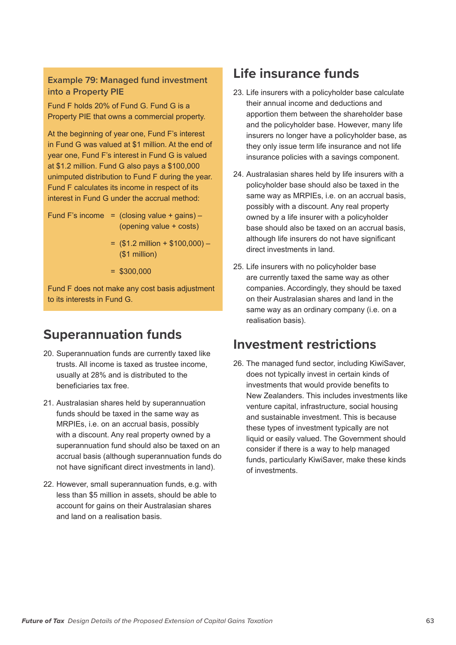#### **Example 79: Managed fund investment into a Property PIE**

Fund F holds 20% of Fund G. Fund G is a Property PIE that owns a commercial property.

At the beginning of year one, Fund F's interest in Fund G was valued at \$1 million. At the end of year one, Fund F's interest in Fund G is valued at \$1.2 million. Fund G also pays a \$100,000 unimputed distribution to Fund F during the year. Fund F calculates its income in respect of its interest in Fund G under the accrual method:

Fund F's income  $=$  (closing value + gains) – (opening value + costs)

- $=$  (\$1.2 million + \$100,000) (\$1 million)
- $=$  \$300,000

Fund F does not make any cost basis adjustment to its interests in Fund G.

## **Superannuation funds**

- 20. Superannuation funds are currently taxed like trusts. All income is taxed as trustee income, usually at 28% and is distributed to the beneficiaries tax free.
- 21. Australasian shares held by superannuation funds should be taxed in the same way as MRPIEs, i.e. on an accrual basis, possibly with a discount. Any real property owned by a superannuation fund should also be taxed on an accrual basis (although superannuation funds do not have significant direct investments in land).
- 22. However, small superannuation funds, e.g. with less than \$5 million in assets, should be able to account for gains on their Australasian shares and land on a realisation basis.

## **Life insurance funds**

- 23. Life insurers with a policyholder base calculate their annual income and deductions and apportion them between the shareholder base and the policyholder base. However, many life insurers no longer have a policyholder base, as they only issue term life insurance and not life insurance policies with a savings component.
- 24. Australasian shares held by life insurers with a policyholder base should also be taxed in the same way as MRPIEs, i.e. on an accrual basis, possibly with a discount. Any real property owned by a life insurer with a policyholder base should also be taxed on an accrual basis, although life insurers do not have significant direct investments in land.
- 25. Life insurers with no policyholder base are currently taxed the same way as other companies. Accordingly, they should be taxed on their Australasian shares and land in the same way as an ordinary company (i.e. on a realisation basis).

### **Investment restrictions**

26. The managed fund sector, including KiwiSaver, does not typically invest in certain kinds of investments that would provide benefits to New Zealanders. This includes investments like venture capital, infrastructure, social housing and sustainable investment. This is because these types of investment typically are not liquid or easily valued. The Government should consider if there is a way to help managed funds, particularly KiwiSaver, make these kinds of investments.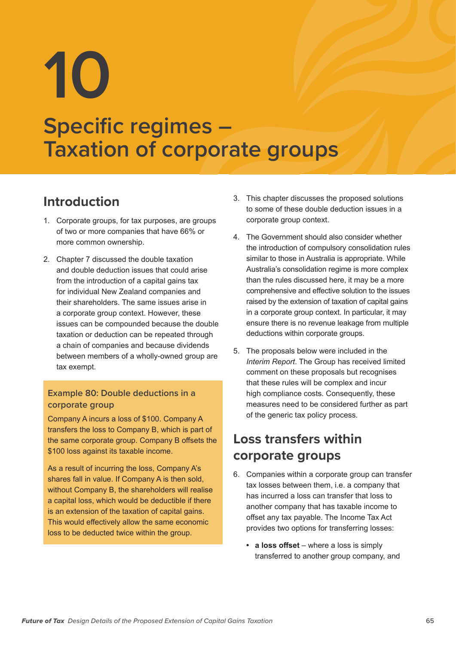**10**

## **Specific regimes – Taxation of corporate groups**

## **Introduction**

- 1. Corporate groups, for tax purposes, are groups of two or more companies that have 66% or more common ownership.
- 2. Chapter 7 discussed the double taxation and double deduction issues that could arise from the introduction of a capital gains tax for individual New Zealand companies and their shareholders. The same issues arise in a corporate group context. However, these issues can be compounded because the double taxation or deduction can be repeated through a chain of companies and because dividends between members of a wholly-owned group are tax exempt.

#### **Example 80: Double deductions in a corporate group**

Company A incurs a loss of \$100. Company A transfers the loss to Company B, which is part of the same corporate group. Company B offsets the \$100 loss against its taxable income.

As a result of incurring the loss, Company A's shares fall in value. If Company A is then sold, without Company B, the shareholders will realise a capital loss, which would be deductible if there is an extension of the taxation of capital gains. This would effectively allow the same economic loss to be deducted twice within the group.

- 3. This chapter discusses the proposed solutions to some of these double deduction issues in a corporate group context.
- 4. The Government should also consider whether the introduction of compulsory consolidation rules similar to those in Australia is appropriate. While Australia's consolidation regime is more complex than the rules discussed here, it may be a more comprehensive and effective solution to the issues raised by the extension of taxation of capital gains in a corporate group context. In particular, it may ensure there is no revenue leakage from multiple deductions within corporate groups.
- 5. The proposals below were included in the *Interim Report*. The Group has received limited comment on these proposals but recognises that these rules will be complex and incur high compliance costs. Consequently, these measures need to be considered further as part of the generic tax policy process.

## **Loss transfers within corporate groups**

- 6. Companies within a corporate group can transfer tax losses between them, i.e. a company that has incurred a loss can transfer that loss to another company that has taxable income to offset any tax payable. The Income Tax Act provides two options for transferring losses:
	- **• a loss offset** where a loss is simply transferred to another group company, and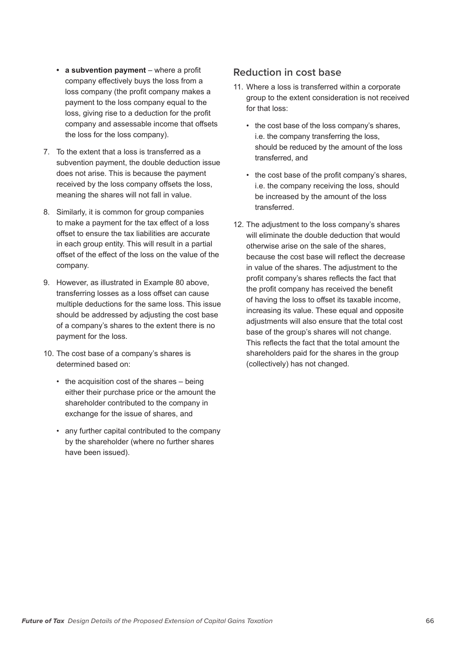- **• a subvention payment** where a profit company effectively buys the loss from a loss company (the profit company makes a payment to the loss company equal to the loss, giving rise to a deduction for the profit company and assessable income that offsets the loss for the loss company).
- 7. To the extent that a loss is transferred as a subvention payment, the double deduction issue does not arise. This is because the payment received by the loss company offsets the loss, meaning the shares will not fall in value.
- 8. Similarly, it is common for group companies to make a payment for the tax effect of a loss offset to ensure the tax liabilities are accurate in each group entity. This will result in a partial offset of the effect of the loss on the value of the company.
- 9. However, as illustrated in Example 80 above, transferring losses as a loss offset can cause multiple deductions for the same loss. This issue should be addressed by adjusting the cost base of a company's shares to the extent there is no payment for the loss.
- 10. The cost base of a company's shares is determined based on:
	- the acquisition cost of the shares being either their purchase price or the amount the shareholder contributed to the company in exchange for the issue of shares, and
	- any further capital contributed to the company by the shareholder (where no further shares have been issued).

#### **Reduction in cost base**

- 11. Where a loss is transferred within a corporate group to the extent consideration is not received for that loss:
	- the cost base of the loss company's shares, i.e. the company transferring the loss, should be reduced by the amount of the loss transferred, and
	- the cost base of the profit company's shares, i.e. the company receiving the loss, should be increased by the amount of the loss transferred.
- 12. The adjustment to the loss company's shares will eliminate the double deduction that would otherwise arise on the sale of the shares, because the cost base will reflect the decrease in value of the shares. The adjustment to the profit company's shares reflects the fact that the profit company has received the benefit of having the loss to offset its taxable income, increasing its value. These equal and opposite adjustments will also ensure that the total cost base of the group's shares will not change. This reflects the fact that the total amount the shareholders paid for the shares in the group (collectively) has not changed.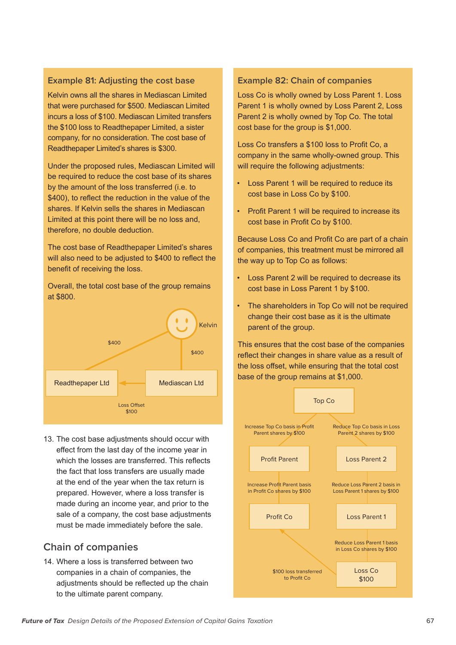#### **Example 81: Adjusting the cost base**

Kelvin owns all the shares in Mediascan Limited that were purchased for \$500. Mediascan Limited incurs a loss of \$100. Mediascan Limited transfers the \$100 loss to Readthepaper Limited, a sister company, for no consideration. The cost base of Readthepaper Limited's shares is \$300.

Under the proposed rules, Mediascan Limited will be required to reduce the cost base of its shares by the amount of the loss transferred (i.e. to \$400), to reflect the reduction in the value of the shares. If Kelvin sells the shares in Mediascan Limited at this point there will be no loss and, therefore, no double deduction.

The cost base of Readthepaper Limited's shares will also need to be adjusted to \$400 to reflect the benefit of receiving the loss.

Overall, the total cost base of the group remains at \$800.



13. The cost base adjustments should occur with effect from the last day of the income year in which the losses are transferred. This reflects the fact that loss transfers are usually made at the end of the year when the tax return is prepared. However, where a loss transfer is made during an income year, and prior to the sale of a company, the cost base adjustments must be made immediately before the sale.

#### **Chain of companies**

14. Where a loss is transferred between two companies in a chain of companies, the adjustments should be reflected up the chain to the ultimate parent company.

#### **Example 82: Chain of companies**

Loss Co is wholly owned by Loss Parent 1. Loss Parent 1 is wholly owned by Loss Parent 2, Loss Parent 2 is wholly owned by Top Co. The total cost base for the group is \$1,000.

Loss Co transfers a \$100 loss to Profit Co, a company in the same wholly-owned group. This will require the following adjustments:

- Loss Parent 1 will be required to reduce its cost base in Loss Co by \$100.
- Profit Parent 1 will be required to increase its cost base in Profit Co by \$100.

Because Loss Co and Profit Co are part of a chain of companies, this treatment must be mirrored all the way up to Top Co as follows:

- Loss Parent 2 will be required to decrease its cost base in Loss Parent 1 by \$100.
- The shareholders in Top Co will not be required change their cost base as it is the ultimate parent of the group.

This ensures that the cost base of the companies reflect their changes in share value as a result of the loss offset, while ensuring that the total cost base of the group remains at \$1,000.

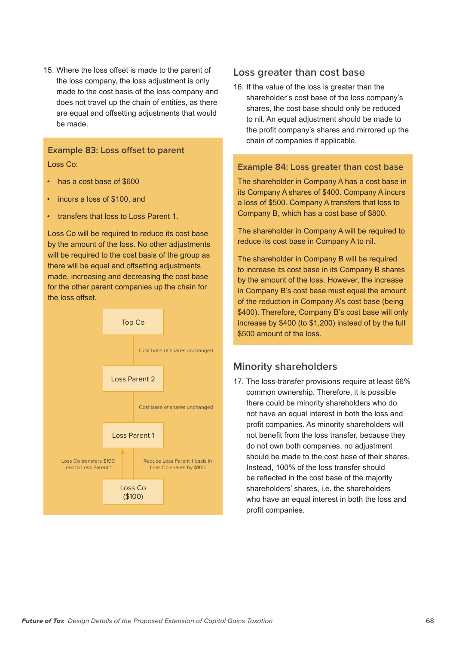15. Where the loss offset is made to the parent of the loss company, the loss adjustment is only made to the cost basis of the loss company and does not travel up the chain of entities, as there are equal and offsetting adjustments that would be made.

#### **Example 83: Loss offset to parent**  Loss Co:

- has a cost base of \$600
- incurs a loss of \$100, and
- transfers that loss to Loss Parent 1.

Loss Co will be required to reduce its cost base by the amount of the loss. No other adjustments will be required to the cost basis of the group as there will be equal and offsetting adjustments made, increasing and decreasing the cost base for the other parent companies up the chain for the loss offset.



#### **Loss greater than cost base**

16. If the value of the loss is greater than the shareholder's cost base of the loss company's shares, the cost base should only be reduced to nil. An equal adjustment should be made to the profit company's shares and mirrored up the chain of companies if applicable.

#### **Example 84: Loss greater than cost base**

The shareholder in Company A has a cost base in its Company A shares of \$400. Company A incurs a loss of \$500. Company A transfers that loss to Company B, which has a cost base of \$800.

The shareholder in Company A will be required to reduce its cost base in Company A to nil.

The shareholder in Company B will be required to increase its cost base in its Company B shares by the amount of the loss. However, the increase in Company B's cost base must equal the amount of the reduction in Company A's cost base (being \$400). Therefore, Company B's cost base will only increase by \$400 (to \$1,200) instead of by the full \$500 amount of the loss.

#### **Minority shareholders**

17. The loss-transfer provisions require at least 66% common ownership. Therefore, it is possible there could be minority shareholders who do not have an equal interest in both the loss and profit companies. As minority shareholders will not benefit from the loss transfer, because they do not own both companies, no adjustment should be made to the cost base of their shares. Instead, 100% of the loss transfer should be reflected in the cost base of the majority shareholders' shares, i.e. the shareholders who have an equal interest in both the loss and profit companies.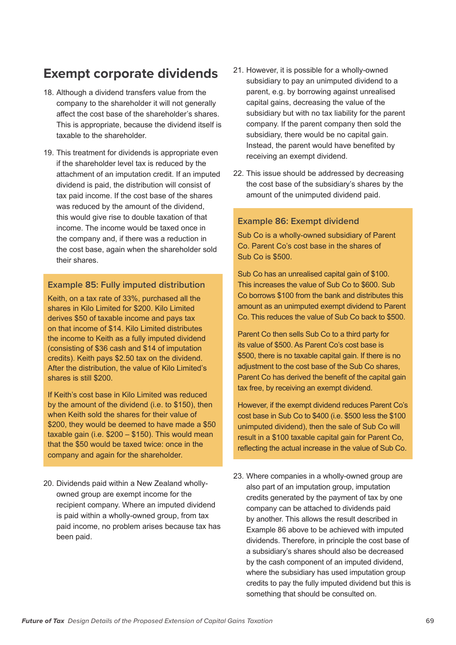## **Exempt corporate dividends**

- 18. Although a dividend transfers value from the company to the shareholder it will not generally affect the cost base of the shareholder's shares. This is appropriate, because the dividend itself is taxable to the shareholder.
- 19. This treatment for dividends is appropriate even if the shareholder level tax is reduced by the attachment of an imputation credit. If an imputed dividend is paid, the distribution will consist of tax paid income. If the cost base of the shares was reduced by the amount of the dividend, this would give rise to double taxation of that income. The income would be taxed once in the company and, if there was a reduction in the cost base, again when the shareholder sold their shares.

#### **Example 85: Fully imputed distribution**

Keith, on a tax rate of 33%, purchased all the shares in Kilo Limited for \$200. Kilo Limited derives \$50 of taxable income and pays tax on that income of \$14. Kilo Limited distributes the income to Keith as a fully imputed dividend (consisting of \$36 cash and \$14 of imputation credits). Keith pays \$2.50 tax on the dividend. After the distribution, the value of Kilo Limited's shares is still \$200.

If Keith's cost base in Kilo Limited was reduced by the amount of the dividend (i.e. to \$150), then when Keith sold the shares for their value of \$200, they would be deemed to have made a \$50 taxable gain (i.e. \$200 – \$150). This would mean that the \$50 would be taxed twice: once in the company and again for the shareholder.

20. Dividends paid within a New Zealand whollyowned group are exempt income for the recipient company. Where an imputed dividend is paid within a wholly-owned group, from tax paid income, no problem arises because tax has been paid.

- 21. However, it is possible for a wholly-owned subsidiary to pay an unimputed dividend to a parent, e.g. by borrowing against unrealised capital gains, decreasing the value of the subsidiary but with no tax liability for the parent company. If the parent company then sold the subsidiary, there would be no capital gain. Instead, the parent would have benefited by receiving an exempt dividend.
- 22. This issue should be addressed by decreasing the cost base of the subsidiary's shares by the amount of the unimputed dividend paid.

#### **Example 86: Exempt dividend**

Sub Co is a wholly-owned subsidiary of Parent Co. Parent Co's cost base in the shares of Sub Co is \$500.

Sub Co has an unrealised capital gain of \$100. This increases the value of Sub Co to \$600. Sub Co borrows \$100 from the bank and distributes this amount as an unimputed exempt dividend to Parent Co. This reduces the value of Sub Co back to \$500.

Parent Co then sells Sub Co to a third party for its value of \$500. As Parent Co's cost base is \$500, there is no taxable capital gain. If there is no adjustment to the cost base of the Sub Co shares, Parent Co has derived the benefit of the capital gain tax free, by receiving an exempt dividend.

However, if the exempt dividend reduces Parent Co's cost base in Sub Co to \$400 (i.e. \$500 less the \$100 unimputed dividend), then the sale of Sub Co will result in a \$100 taxable capital gain for Parent Co, reflecting the actual increase in the value of Sub Co.

23. Where companies in a wholly-owned group are also part of an imputation group, imputation credits generated by the payment of tax by one company can be attached to dividends paid by another. This allows the result described in Example 86 above to be achieved with imputed dividends. Therefore, in principle the cost base of a subsidiary's shares should also be decreased by the cash component of an imputed dividend, where the subsidiary has used imputation group credits to pay the fully imputed dividend but this is something that should be consulted on.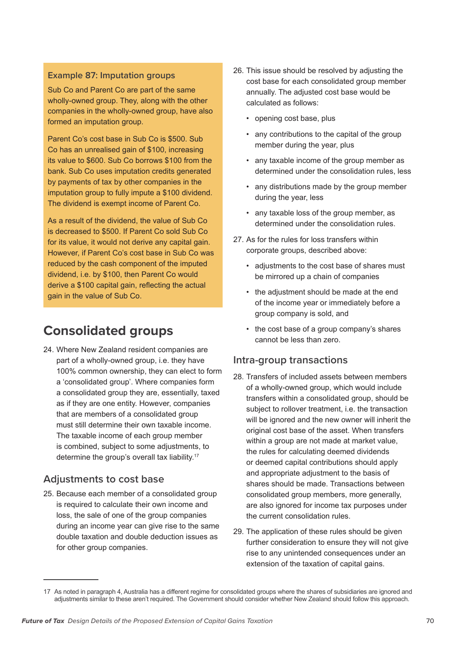#### **Example 87: Imputation groups**

Sub Co and Parent Co are part of the same wholly-owned group. They, along with the other companies in the wholly-owned group, have also formed an imputation group.

Parent Co's cost base in Sub Co is \$500. Sub Co has an unrealised gain of \$100, increasing its value to \$600. Sub Co borrows \$100 from the bank. Sub Co uses imputation credits generated by payments of tax by other companies in the imputation group to fully impute a \$100 dividend. The dividend is exempt income of Parent Co.

As a result of the dividend, the value of Sub Co is decreased to \$500. If Parent Co sold Sub Co for its value, it would not derive any capital gain. However, if Parent Co's cost base in Sub Co was reduced by the cash component of the imputed dividend, i.e. by \$100, then Parent Co would derive a \$100 capital gain, reflecting the actual gain in the value of Sub Co.

## **Consolidated groups**

24. Where New Zealand resident companies are part of a wholly-owned group, i.e. they have 100% common ownership, they can elect to form a 'consolidated group'. Where companies form a consolidated group they are, essentially, taxed as if they are one entity. However, companies that are members of a consolidated group must still determine their own taxable income. The taxable income of each group member is combined, subject to some adjustments, to determine the group's overall tax liability.17

#### **Adjustments to cost base**

25. Because each member of a consolidated group is required to calculate their own income and loss, the sale of one of the group companies during an income year can give rise to the same double taxation and double deduction issues as for other group companies.

- 26. This issue should be resolved by adjusting the cost base for each consolidated group member annually. The adjusted cost base would be calculated as follows:
	- opening cost base, plus
	- any contributions to the capital of the group member during the year, plus
	- any taxable income of the group member as determined under the consolidation rules, less
	- any distributions made by the group member during the year, less
	- any taxable loss of the group member, as determined under the consolidation rules.
- 27. As for the rules for loss transfers within corporate groups, described above:
	- adjustments to the cost base of shares must be mirrored up a chain of companies
	- the adjustment should be made at the end of the income year or immediately before a group company is sold, and
	- the cost base of a group company's shares cannot be less than zero.

#### **Intra-group transactions**

- 28. Transfers of included assets between members of a wholly-owned group, which would include transfers within a consolidated group, should be subject to rollover treatment, i.e. the transaction will be ignored and the new owner will inherit the original cost base of the asset. When transfers within a group are not made at market value. the rules for calculating deemed dividends or deemed capital contributions should apply and appropriate adjustment to the basis of shares should be made. Transactions between consolidated group members, more generally, are also ignored for income tax purposes under the current consolidation rules.
- 29. The application of these rules should be given further consideration to ensure they will not give rise to any unintended consequences under an extension of the taxation of capital gains.

<sup>17</sup> As noted in paragraph 4, Australia has a different regime for consolidated groups where the shares of subsidiaries are ignored and adjustments similar to these aren't required. The Government should consider whether New Zealand should follow this approach.